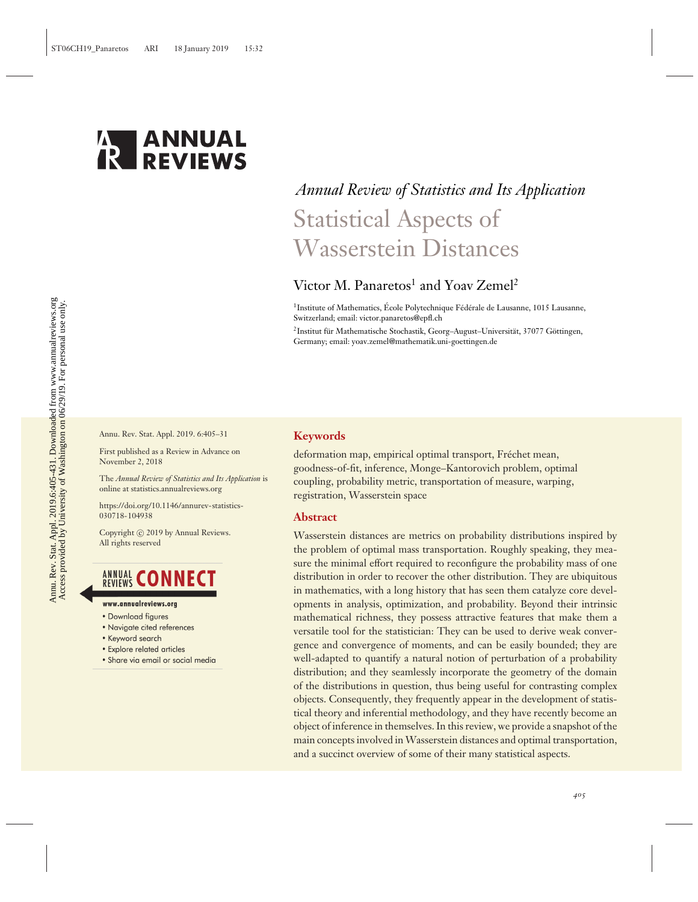

# *Annual Review of Statistics and Its Application* Statistical Aspects of Wasserstein Distances

# Victor M. Panaretos<sup>1</sup> and Yoav Zemel<sup>2</sup>

<sup>1</sup>Institute of Mathematics, École Polytechnique Fédérale de Lausanne, 1015 Lausanne, Switzerland; email: victor.panaretos@epfl.ch

<sup>2</sup>Institut für Mathematische Stochastik, Georg-August-Universität, 37077 Göttingen, Germany; email: yoav.zemel@mathematik.uni-goettingen.de

Annu. Rev. Stat. Appl. 2019. 6:405–31

First published as a Review in Advance on November 2, 2018

The *Annual Review of Statistics and Its Application* is online at statistics.annualreviews.org

[https://doi.org/10.1146/annurev-statistics-](https://doi.org/10.1146/annurev-statistics-030718-104938)[030718-104938](https://doi.org/10.1146/annurev-statistics-030718-104938)

Copyright © 2019 by Annual Reviews. All rights reserved

# **ANNUAL CONNECT**

- www.annualreviews.org
- Download figures
- Navigate cited references
- Keyword search
- Explore related articles
- · Share via email or social media

#### **Keywords**

deformation map, empirical optimal transport, Fréchet mean, goodness-of-fit, inference, Monge–Kantorovich problem, optimal coupling, probability metric, transportation of measure, warping, registration, Wasserstein space

#### **Abstract**

Wasserstein distances are metrics on probability distributions inspired by the problem of optimal mass transportation. Roughly speaking, they measure the minimal effort required to reconfigure the probability mass of one distribution in order to recover the other distribution. They are ubiquitous in mathematics, with a long history that has seen them catalyze core developments in analysis, optimization, and probability. Beyond their intrinsic mathematical richness, they possess attractive features that make them a versatile tool for the statistician: They can be used to derive weak convergence and convergence of moments, and can be easily bounded; they are well-adapted to quantify a natural notion of perturbation of a probability distribution; and they seamlessly incorporate the geometry of the domain of the distributions in question, thus being useful for contrasting complex objects. Consequently, they frequently appear in the development of statistical theory and inferential methodology, and they have recently become an object of inference in themselves. In this review, we provide a snapshot of the main concepts involved in Wasserstein distances and optimal transportation, and a succinct overview of some of their many statistical aspects.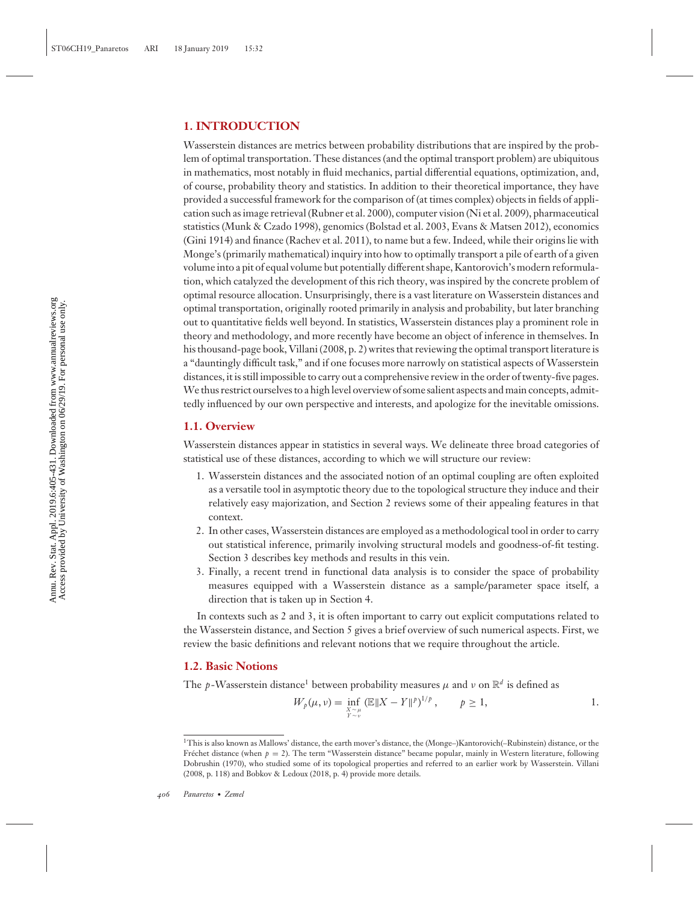# **1. INTRODUCTION**

Wasserstein distances are metrics between probability distributions that are inspired by the problem of optimal transportation. These distances (and the optimal transport problem) are ubiquitous in mathematics, most notably in fluid mechanics, partial differential equations, optimization, and, of course, probability theory and statistics. In addition to their theoretical importance, they have provided a successful framework for the comparison of (at times complex) objects in fields of application such as image retrieval (Rubner et al. 2000), computer vision (Ni et al. 2009), pharmaceutical statistics (Munk & Czado 1998), genomics (Bolstad et al. 2003, Evans & Matsen 2012), economics (Gini 1914) and finance (Rachev et al. 2011), to name but a few. Indeed, while their origins lie with Monge's (primarily mathematical) inquiry into how to optimally transport a pile of earth of a given volume into a pit of equal volume but potentially different shape, Kantorovich's modern reformulation, which catalyzed the development of this rich theory, was inspired by the concrete problem of optimal resource allocation. Unsurprisingly, there is a vast literature on Wasserstein distances and optimal transportation, originally rooted primarily in analysis and probability, but later branching out to quantitative fields well beyond. In statistics, Wasserstein distances play a prominent role in theory and methodology, and more recently have become an object of inference in themselves. In his thousand-page book, Villani (2008, p. 2) writes that reviewing the optimal transport literature is a "dauntingly difficult task," and if one focuses more narrowly on statistical aspects of Wasserstein distances, it is still impossible to carry out a comprehensive review in the order of twenty-five pages. We thus restrict ourselves to a high level overview of some salient aspects and main concepts, admittedly influenced by our own perspective and interests, and apologize for the inevitable omissions.

# **1.1. Overview**

Wasserstein distances appear in statistics in several ways. We delineate three broad categories of statistical use of these distances, according to which we will structure our review:

- 1. Wasserstein distances and the associated notion of an optimal coupling are often exploited as a versatile tool in asymptotic theory due to the topological structure they induce and their relatively easy majorization, and Section 2 reviews some of their appealing features in that context.
- 2. In other cases, Wasserstein distances are employed as a methodological tool in order to carry out statistical inference, primarily involving structural models and goodness-of-fit testing. Section 3 describes key methods and results in this vein.
- 3. Finally, a recent trend in functional data analysis is to consider the space of probability measures equipped with a Wasserstein distance as a sample/parameter space itself, a direction that is taken up in Section 4.

In contexts such as 2 and 3, it is often important to carry out explicit computations related to the Wasserstein distance, and Section 5 gives a brief overview of such numerical aspects. First, we review the basic definitions and relevant notions that we require throughout the article.

# **1.2. Basic Notions**

The *p*-Wasserstein distance<sup>1</sup> between probability measures  $\mu$  and  $\nu$  on  $\mathbb{R}^d$  is defined as

$$
W_p(\mu, \nu) = \inf_{\substack{X \sim \mu \\ Y \sim \nu}} (\mathbb{E} \|X - Y\|^p)^{1/p}, \qquad p \ge 1,
$$

<sup>1</sup>This is also known as Mallows' distance, the earth mover's distance, the (Monge–)Kantorovich(–Rubinstein) distance, or the Fréchet distance (when  $p = 2$ ). The term "Wasserstein distance" became popular, mainly in Western literature, following Dobrushin (1970), who studied some of its topological properties and referred to an earlier work by Wasserstein. Villani (2008, p. 118) and Bobkov & Ledoux (2018, p. 4) provide more details.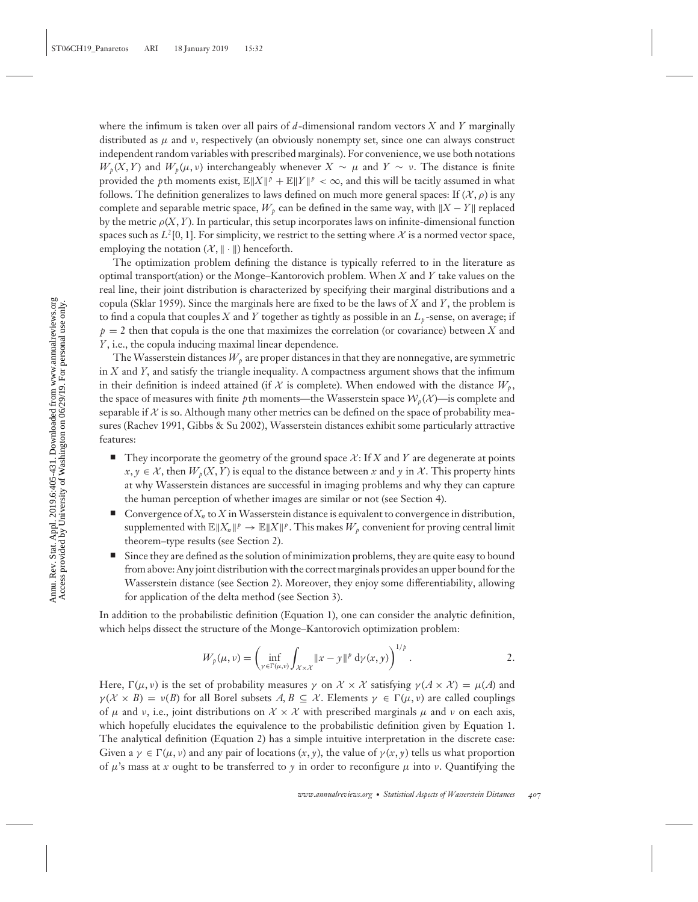where the infimum is taken over all pairs of *d*-dimensional random vectors *X* and *Y* marginally distributed as  $\mu$  and  $\nu$ , respectively (an obviously nonempty set, since one can always construct independent random variables with prescribed marginals). For convenience, we use both notations  $W_p(X, Y)$  and  $W_p(\mu, \nu)$  interchangeably whenever  $X \sim \mu$  and  $Y \sim \nu$ . The distance is finite provided the *p*th moments exist,  $\mathbb{E} \|X\|^p + \mathbb{E} \|Y\|^p < \infty$ , and this will be tacitly assumed in what follows. The definition generalizes to laws defined on much more general spaces: If  $(\mathcal{X}, \rho)$  is any complete and separable metric space,  $W_p$  can be defined in the same way, with  $||X - Y||$  replaced by the metric  $\rho(X, Y)$ . In particular, this setup incorporates laws on infinite-dimensional function spaces such as  $L^2[0, 1]$ . For simplicity, we restrict to the setting where X is a normed vector space, employing the notation  $(X, \|\cdot\|)$  henceforth.

The optimization problem defining the distance is typically referred to in the literature as optimal transport(ation) or the Monge–Kantorovich problem. When *X* and *Y* take values on the real line, their joint distribution is characterized by specifying their marginal distributions and a copula (Sklar 1959). Since the marginals here are fixed to be the laws of *X* and *Y*, the problem is to find a copula that couples *X* and *Y* together as tightly as possible in an  $L_p$ -sense, on average; if  $p = 2$  then that copula is the one that maximizes the correlation (or covariance) between *X* and *Y*, i.e., the copula inducing maximal linear dependence.

The Wasserstein distances  $W_p$  are proper distances in that they are nonnegative, are symmetric in  $X$  and  $Y$ , and satisfy the triangle inequality. A compactness argument shows that the infimum in their definition is indeed attained (if  $X$  is complete). When endowed with the distance  $W_p$ , the space of measures with finite *p*th moments—the Wasserstein space  $W_p(\mathcal{X})$ —is complete and separable if  $X$  is so. Although many other metrics can be defined on the space of probability measures (Rachev 1991, Gibbs & Su 2002), Wasserstein distances exhibit some particularly attractive features:

- -They incorporate the geometry of the ground space  $\mathcal{X}$ : If  $X$  and  $Y$  are degenerate at points  $x, y \in \mathcal{X}$ , then  $W_p(X, Y)$  is equal to the distance between *x* and *y* in X. This property hints at why Wasserstein distances are successful in imaging problems and why they can capture the human perception of whether images are similar or not (see Section 4).
- -Convergence of  $X_n$  to  $X$  in Wasserstein distance is equivalent to convergence in distribution, supplemented with  $\mathbb{E}\|X_n\|^p \to \mathbb{E}\|X\|^p$ . This makes  $W_p$  convenient for proving central limit theorem–type results (see Section 2).
- - Since they are defined as the solution of minimization problems, they are quite easy to bound from above: Any joint distribution with the correct marginals provides an upper bound for the Wasserstein distance (see Section 2). Moreover, they enjoy some differentiability, allowing for application of the delta method (see Section 3).

In addition to the probabilistic definition (Equation 1), one can consider the analytic definition, which helps dissect the structure of the Monge–Kantorovich optimization problem:

$$
W_p(\mu, \nu) = \left( \inf_{\gamma \in \Gamma(\mu, \nu)} \int_{\mathcal{X} \times \mathcal{X}} \|x - y\|^p \, \mathrm{d} \gamma(x, y) \right)^{1/p}.
$$

Here,  $\Gamma(\mu, \nu)$  is the set of probability measures  $\gamma$  on  $\mathcal{X} \times \mathcal{X}$  satisfying  $\gamma(\mathcal{A} \times \mathcal{X}) = \mu(\mathcal{A})$  and  $\gamma(\mathcal{X} \times B) = \nu(B)$  for all Borel subsets  $A, B \subseteq \mathcal{X}$ . Elements  $\gamma \in \Gamma(\mu, \nu)$  are called couplings of  $\mu$  and  $\nu$ , i.e., joint distributions on  $\mathcal{X} \times \mathcal{X}$  with prescribed marginals  $\mu$  and  $\nu$  on each axis, which hopefully elucidates the equivalence to the probabilistic definition given by Equation 1. The analytical definition (Equation 2) has a simple intuitive interpretation in the discrete case: Given a  $\gamma \in \Gamma(\mu, \nu)$  and any pair of locations  $(x, y)$ , the value of  $\gamma(x, y)$  tells us what proportion of  $\mu$ 's mass at *x* ought to be transferred to *y* in order to reconfigure  $\mu$  into *v*. Quantifying the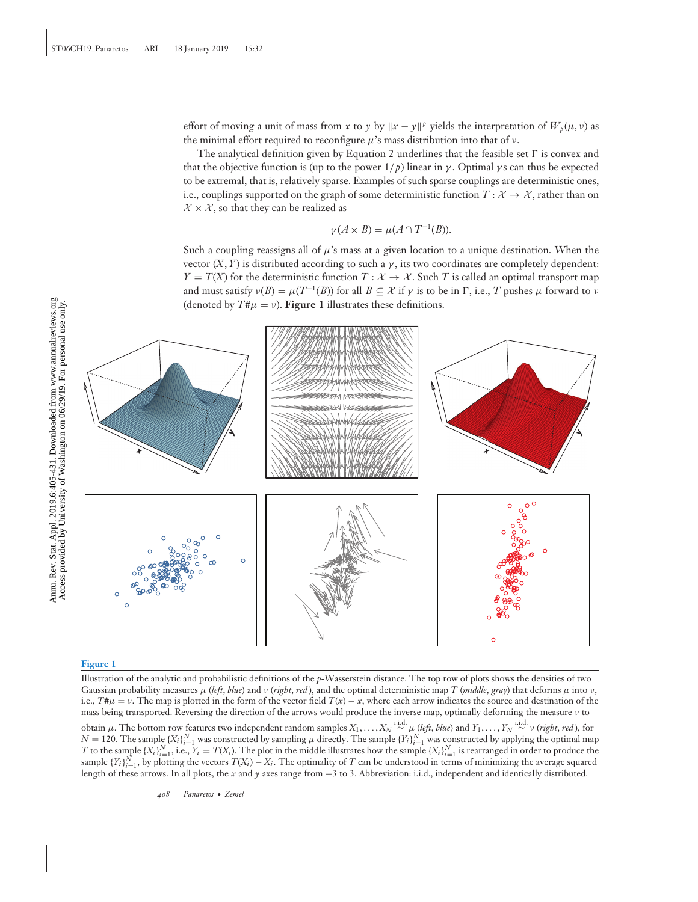effort of moving a unit of mass from *x* to *y* by  $\|x - y\|^p$  yields the interpretation of  $W_p(\mu, \nu)$  as the minimal effort required to reconfigure  $\mu$ 's mass distribution into that of  $\nu$ .

The analytical definition given by Equation 2 underlines that the feasible set  $\Gamma$  is convex and that the objective function is (up to the power  $1/p$ ) linear in  $\gamma$ . Optimal  $\gamma$ s can thus be expected to be extremal, that is, relatively sparse. Examples of such sparse couplings are deterministic ones, i.e., couplings supported on the graph of some deterministic function  $T : \mathcal{X} \to \mathcal{X}$ , rather than on  $\mathcal{X} \times \mathcal{X}$ , so that they can be realized as

$$
\gamma(A \times B) = \mu(A \cap T^{-1}(B)).
$$

Such a coupling reassigns all of  $\mu$ 's mass at a given location to a unique destination. When the vector  $(X, Y)$  is distributed according to such a  $\gamma$ , its two coordinates are completely dependent:  $Y = T(X)$  for the deterministic function  $T : X \to X$ . Such *T* is called an optimal transport map and must satisfy  $v(B) = \mu(T^{-1}(B))$  for all  $B \subset \mathcal{X}$  if  $\gamma$  is to be in  $\Gamma$ , i.e., *T* pushes  $\mu$  forward to  $\nu$ (denoted by  $T\sharp\mu = \nu$ ). **Figure 1** illustrates these definitions.



#### **Figure 1**

Illustration of the analytic and probabilistic definitions of the *p*-Wasserstein distance. The top row of plots shows the densities of two Gaussian probability measures  $\mu$  (*left*, *blue*) and  $\nu$  (*right*, *red*), and the optimal deterministic map *T* (*middle*, *gray*) that deforms  $\mu$  into  $\nu$ , i.e.,  $T^*\mu = \nu$ . The map is plotted in the form of the vector field  $T(x) - x$ , where each arrow indicates the source and destination of the mass being transported. Reversing the direction of the arrows would produce the inverse map, optimally deforming the measure ν to obtain μ. The bottom row features two independent random samples  $X_1, \ldots, X_N \overset{\text{i.i.d.}}{\sim} \mu$  (left, blue) and  $Y_1, \ldots, Y_N \overset{\text{i.i.d.}}{\sim} \nu$  (right, red), for  $N = 120$ . The sample  $\{X_i\}_{i=1}^N$  was constructed by sampling  $\mu$  directly. The sample  $\{Y_i\}_{i=1}^N$  was constructed by applying the optimal map *T* to the sample  $\{X_i\}_{i=1}^N$ , i.e.,  $Y_i = T(X_i)$ . The plot in the middle illustrates how the sample  $\{X_i\}_{i=1}^N$  is rearranged in order to produce the sample  ${Y_i}_{i=1}^N$ , by plotting the vectors  $T(X_i) - X_i$ . The optimality of *T* can be understood in terms of minimizing the average squared length of these arrows. In all plots, the *x* and *y* axes range from −3 to 3. Abbreviation: i.i.d., independent and identically distributed.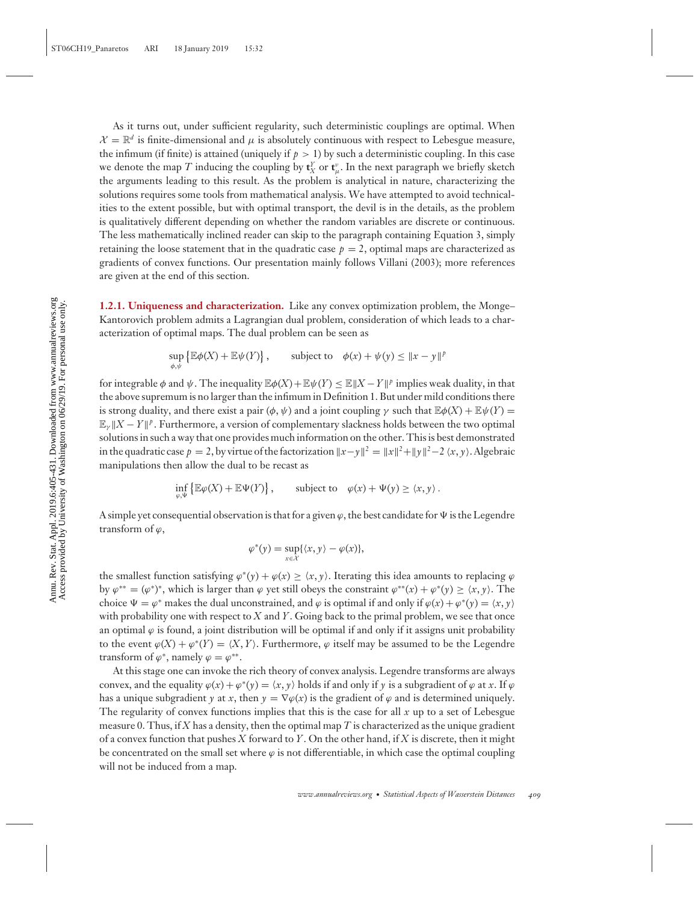As it turns out, under sufficient regularity, such deterministic couplings are optimal. When  $\mathcal{X} = \mathbb{R}^d$  is finite-dimensional and  $\mu$  is absolutely continuous with respect to Lebesgue measure, the infimum (if finite) is attained (uniquely if  $p > 1$ ) by such a deterministic coupling. In this case we denote the map  $T$  inducing the coupling by  $\mathbf{t}_X^{\mathcal{V}}$  or  $\mathbf{t}_\mu^{\mathcal{V}}$ . In the next paragraph we briefly sketch the arguments leading to this result. As the problem is analytical in nature, characterizing the solutions requires some tools from mathematical analysis. We have attempted to avoid technicalities to the extent possible, but with optimal transport, the devil is in the details, as the problem is qualitatively different depending on whether the random variables are discrete or continuous. The less mathematically inclined reader can skip to the paragraph containing Equation 3, simply retaining the loose statement that in the quadratic case  $p = 2$ , optimal maps are characterized as gradients of convex functions. Our presentation mainly follows Villani (2003); more references are given at the end of this section.

**1.2.1. Uniqueness and characterization.** Like any convex optimization problem, the Monge– Kantorovich problem admits a Lagrangian dual problem, consideration of which leads to a characterization of optimal maps. The dual problem can be seen as

$$
\sup_{\phi,\psi} \left\{ \mathbb{E}\phi(X) + \mathbb{E}\psi(Y) \right\}, \qquad \text{subject to} \quad \phi(x) + \psi(y) \leq \|x - y\|^p
$$

for integrable  $\phi$  and  $\psi$ . The inequality  $\mathbb{E}\phi(X)+\mathbb{E}\psi(Y)\leq \mathbb{E}\|X-Y\|^p$  implies weak duality, in that the above supremum is no larger than the infimum in Definition 1. But under mild conditions there is strong duality, and there exist a pair  $(\phi, \psi)$  and a joint coupling  $\gamma$  such that  $\mathbb{E}\phi(X) + \mathbb{E}\psi(Y) =$  $\mathbb{E}_{\nu} \| X - Y \|^p$ . Furthermore, a version of complementary slackness holds between the two optimal solutions in such a way that one provides much information on the other. This is best demonstrated in the quadratic case  $p = 2$ , by virtue of the factorization  $||x-y||^2 = ||x||^2 + ||y||^2 - 2 \langle x, y \rangle$ . Algebraic manipulations then allow the dual to be recast as

$$
\inf_{\varphi,\Psi} \left\{ \mathbb{E}\varphi(X) + \mathbb{E}\Psi(Y) \right\}, \qquad \text{subject to} \quad \varphi(x) + \Psi(y) \ge \langle x, y \rangle \,.
$$

A simple yet consequential observation is that for a given  $\varphi$ , the best candidate for  $\Psi$  is the Legendre transform of  $\varphi$ ,

$$
\varphi^*(y) = \sup_{x \in \mathcal{X}} \{ \langle x, y \rangle - \varphi(x) \},\
$$

the smallest function satisfying  $\varphi^*(y) + \varphi(x) \ge \langle x, y \rangle$ . Iterating this idea amounts to replacing  $\varphi$ by  $\varphi^{**} = (\varphi^*)^*$ , which is larger than  $\varphi$  yet still obeys the constraint  $\varphi^{**}(x) + \varphi^{*}(y) \ge \langle x, y \rangle$ . The choice  $\Psi = \varphi^*$  makes the dual unconstrained, and  $\varphi$  is optimal if and only if  $\varphi(x) + \varphi^*(y) = \langle x, y \rangle$ with probability one with respect to *X* and *Y*. Going back to the primal problem, we see that once an optimal  $\varphi$  is found, a joint distribution will be optimal if and only if it assigns unit probability to the event  $\varphi(X) + \varphi^*(Y) = \langle X, Y \rangle$ . Furthermore,  $\varphi$  itself may be assumed to be the Legendre transform of  $\varphi^*$ , namely  $\varphi = \varphi^{**}$ .

At this stage one can invoke the rich theory of convex analysis. Legendre transforms are always convex, and the equality  $\varphi(x) + \varphi^*(y) = \langle x, y \rangle$  holds if and only if y is a subgradient of  $\varphi$  at x. If  $\varphi$ has a unique subgradient *y* at *x*, then  $y = \nabla \varphi(x)$  is the gradient of  $\varphi$  and is determined uniquely. The regularity of convex functions implies that this is the case for all *x* up to a set of Lebesgue measure 0. Thus, if *X* has a density, then the optimal map *T* is characterized as the unique gradient of a convex function that pushes *X* forward to *Y*. On the other hand, if *X* is discrete, then it might be concentrated on the small set where  $\varphi$  is not differentiable, in which case the optimal coupling will not be induced from a map.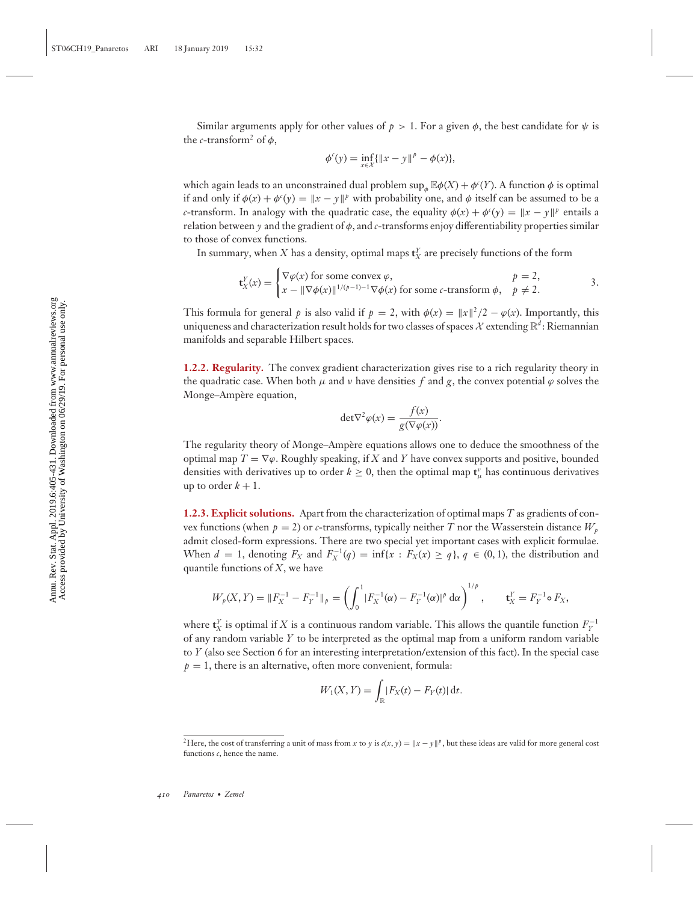Similar arguments apply for other values of  $p > 1$ . For a given  $\phi$ , the best candidate for  $\psi$  is the *c*-transform<sup>2</sup> of  $\phi$ ,

$$
\phi^c(y) = \inf_{x \in \mathcal{X}} \{ ||x - y||^p - \phi(x) \},\
$$

which again leads to an unconstrained dual problem  $\sup_{\phi} \mathbb{E} \phi(X) + \phi'(Y)$ . A function  $\phi$  is optimal if and only if  $\phi(x) + \phi'(y) = \|x - y\|^p$  with probability one, and  $\phi$  itself can be assumed to be a *c*-transform. In analogy with the quadratic case, the equality  $\phi(x) + \phi'(y) = \|x - y\|^p$  entails a relation between  $\gamma$  and the gradient of  $\phi$ , and *c*-transforms enjoy differentiability properties similar to those of convex functions.

In summary, when  $X$  has a density, optimal maps  $\mathbf{t}^Y_X$  are precisely functions of the form

$$
\mathbf{t}_X^Y(x) = \begin{cases} \nabla \varphi(x) \text{ for some convex } \varphi, & p = 2, \\ \nx - \|\nabla \varphi(x)\|^{1/(p-1)-1} \nabla \varphi(x) \text{ for some } c\text{-transform } \varphi, & p \neq 2. \n\end{cases} \tag{3}
$$

This formula for general *p* is also valid if  $p = 2$ , with  $\phi(x) = ||x||^2/2 - \phi(x)$ . Importantly, this uniqueness and characterization result holds for two classes of spaces  $\mathcal X$  extending  $\mathbb R^d$ : Riemannian manifolds and separable Hilbert spaces.

**1.2.2. Regularity.** The convex gradient characterization gives rise to a rich regularity theory in the quadratic case. When both  $\mu$  and  $\nu$  have densities  $f$  and  $g$ , the convex potential  $\varphi$  solves the Monge–Ampère equation,

$$
\det \nabla^2 \varphi(x) = \frac{f(x)}{g(\nabla \varphi(x))}.
$$

The regularity theory of Monge–Ampère equations allows one to deduce the smoothness of the optimal map  $T = \nabla \varphi$ . Roughly speaking, if *X* and *Y* have convex supports and positive, bounded densities with derivatives up to order  $k \geq 0$ , then the optimal map  $\mathbf{t}_{\mu}^{\nu}$  has continuous derivatives up to order  $k + 1$ .

**1.2.3. Explicit solutions.** Apart from the characterization of optimal maps *T* as gradients of convex functions (when  $p = 2$ ) or *c*-transforms, typically neither *T* nor the Wasserstein distance  $W_p$ admit closed-form expressions. There are two special yet important cases with explicit formulae. When  $d = 1$ , denoting  $F_X$  and  $F_X^{-1}(q) = \inf\{x : F_X(x) \ge q\}$ ,  $q \in (0, 1)$ , the distribution and quantile functions of *X*, we have

$$
W_p(X,Y) = ||F_X^{-1} - F_Y^{-1}||_p = \left(\int_0^1 |F_X^{-1}(\alpha) - F_Y^{-1}(\alpha)|^p \,d\alpha\right)^{1/p}, \qquad \mathbf{t}_X^Y = F_Y^{-1} \circ F_X,
$$

where  $\mathbf{t}_X^Y$  is optimal if *X* is a continuous random variable. This allows the quantile function  $F_Y^{-1}$ of any random variable *Y* to be interpreted as the optimal map from a uniform random variable to *Y* (also see Section 6 for an interesting interpretation/extension of this fact). In the special case  $p = 1$ , there is an alternative, often more convenient, formula:

$$
W_1(X,Y) = \int_{\mathbb{R}} |F_X(t) - F_Y(t)| \, \mathrm{d}t.
$$

<sup>&</sup>lt;sup>2</sup>Here, the cost of transferring a unit of mass from *x* to *y* is  $c(x, y) = ||x - y||^p$ , but these ideas are valid for more general cost functions *c*, hence the name.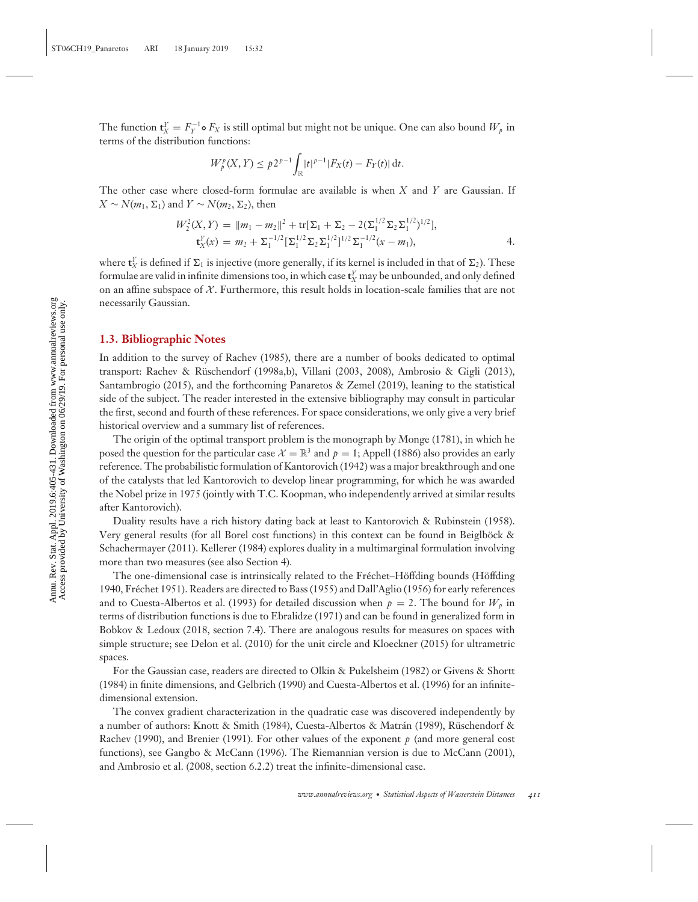The function  $\mathbf{t}_{X}^{Y} = F_{Y}^{-1} \circ F_{X}$  is still optimal but might not be unique. One can also bound  $W_{p}$  in terms of the distribution functions:

$$
W_p^p(X,Y) \le p2^{p-1} \int_{\mathbb{R}} |t|^{p-1} |F_X(t) - F_Y(t)| dt.
$$

The other case where closed-form formulae are available is when *X* and *Y* are Gaussian. If  $X$  ∼  $N(m_1, \Sigma_1)$  and  $Y$  ∼  $N(m_2, \Sigma_2)$ , then

$$
W_2^2(X,Y) = \|m_1 - m_2\|^2 + \text{tr}[\Sigma_1 + \Sigma_2 - 2(\Sigma_1^{1/2} \Sigma_2 \Sigma_1^{1/2})^{1/2}],
$$
  
\n
$$
\textbf{t}_X^Y(x) = m_2 + \Sigma_1^{-1/2}[\Sigma_1^{1/2} \Sigma_2 \Sigma_1^{1/2}]^{1/2} \Sigma_1^{-1/2} (x - m_1),
$$

where  $\mathbf{t}_X^{\nu}$  is defined if  $\Sigma_1$  is injective (more generally, if its kernel is included in that of  $\Sigma_2$ ). These formulae are valid in infinite dimensions too, in which case  $\mathbf{t}_X^V$  may be unbounded, and only defined on an affine subspace of  $X$ . Furthermore, this result holds in location-scale families that are not necessarily Gaussian.

#### **1.3. Bibliographic Notes**

In addition to the survey of Rachev (1985), there are a number of books dedicated to optimal transport: Rachev & Ruschendorf (1998a,b), Villani (2003, 2008), Ambrosio & Gigli (2013), ¨ Santambrogio (2015), and the forthcoming Panaretos & Zemel (2019), leaning to the statistical side of the subject. The reader interested in the extensive bibliography may consult in particular the first, second and fourth of these references. For space considerations, we only give a very brief historical overview and a summary list of references.

The origin of the optimal transport problem is the monograph by Monge (1781), in which he posed the question for the particular case  $\mathcal{X} = \mathbb{R}^3$  and  $p = 1$ ; Appell (1886) also provides an early reference. The probabilistic formulation of Kantorovich (1942) was a major breakthrough and one of the catalysts that led Kantorovich to develop linear programming, for which he was awarded the Nobel prize in 1975 (jointly with T.C. Koopman, who independently arrived at similar results after Kantorovich).

Duality results have a rich history dating back at least to Kantorovich & Rubinstein (1958). Very general results (for all Borel cost functions) in this context can be found in Beiglböck  $\&$ Schachermayer (2011). Kellerer (1984) explores duality in a multimarginal formulation involving more than two measures (see also Section 4).

The one-dimensional case is intrinsically related to the Fréchet–Höffding bounds (Höffding 1940, Frechet 1951). Readers are directed to Bass (1955) and Dall'Aglio (1956) for early references ´ and to Cuesta-Albertos et al. (1993) for detailed discussion when  $p = 2$ . The bound for  $W_p$  in terms of distribution functions is due to Ebralidze (1971) and can be found in generalized form in Bobkov & Ledoux (2018, section 7.4). There are analogous results for measures on spaces with simple structure; see Delon et al. (2010) for the unit circle and Kloeckner (2015) for ultrametric spaces.

For the Gaussian case, readers are directed to Olkin & Pukelsheim (1982) or Givens & Shortt (1984) in finite dimensions, and Gelbrich (1990) and Cuesta-Albertos et al. (1996) for an infinitedimensional extension.

The convex gradient characterization in the quadratic case was discovered independently by a number of authors: Knott & Smith (1984), Cuesta-Albertos & Matrán (1989), Rüschendorf & Rachev (1990), and Brenier (1991). For other values of the exponent *p* (and more general cost functions), see Gangbo & McCann (1996). The Riemannian version is due to McCann (2001), and Ambrosio et al. (2008, section 6.2.2) treat the infinite-dimensional case.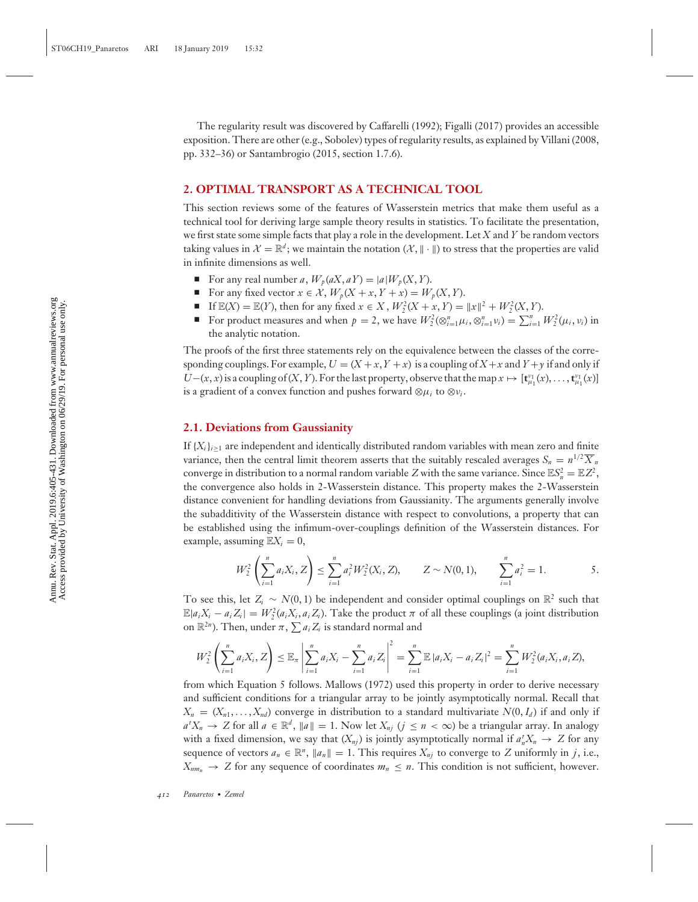The regularity result was discovered by Caffarelli (1992); Figalli (2017) provides an accessible exposition. There are other (e.g., Sobolev) types of regularity results, as explained by Villani (2008, pp. 332–36) or Santambrogio (2015, section 1.7.6).

#### **2. OPTIMAL TRANSPORT AS A TECHNICAL TOOL**

This section reviews some of the features of Wasserstein metrics that make them useful as a technical tool for deriving large sample theory results in statistics. To facilitate the presentation, we first state some simple facts that play a role in the development. Let *X* and *Y* be random vectors taking values in  $\mathcal{X} = \mathbb{R}^d$ ; we maintain the notation  $(\mathcal{X}, \|\cdot\|)$  to stress that the properties are valid in infinite dimensions as well.

- For any real number *a*,  $W_p(aX, aY) = |a|W_p(X, Y)$ .
- -For any fixed vector  $x \in \mathcal{X}$ ,  $W_p(X + x, Y + x) = W_p(X, Y)$ .
- If  $\mathbb{E}(X) = \mathbb{E}(Y)$ , then for any fixed  $x \in X$ ,  $W_2^2(X + x, Y) = ||x||^2 + W_2^2(X, Y)$ .
- For product measures and when  $p = 2$ , we have  $W_2^2(\otimes_{i=1}^n \mu_i, \otimes_{i=1}^n \nu_i) = \sum_{i=1}^n W_2^2(\mu_i, \nu_i)$  in the analytic notation.

The proofs of the first three statements rely on the equivalence between the classes of the corresponding couplings. For example,  $U = (X + x, Y + x)$  is a coupling of  $X + x$  and  $Y + y$  if and only if  $U-(x, x)$  is a coupling of  $(X, Y)$ . For the last property, observe that the map  $x \mapsto [\mathbf{t}_{\mu_1}^{\nu_1}(x), \dots, \mathbf{t}_{\mu_1}^{\nu_1}(x)]$ is a gradient of a convex function and pushes forward  $\otimes \mu_i$  to  $\otimes \nu_i$ .

## **2.1. Deviations from Gaussianity**

If  ${X_i}_{i \geq 1}$  are independent and identically distributed random variables with mean zero and finite variance, then the central limit theorem asserts that the suitably rescaled averages  $S_n = n^{1/2} \overline{X}_n$ converge in distribution to a normal random variable *Z* with the same variance. Since  $\mathbb{E}S_n^2 = \mathbb{E}Z^2$ , the convergence also holds in 2-Wasserstein distance. This property makes the 2-Wasserstein distance convenient for handling deviations from Gaussianity. The arguments generally involve the subadditivity of the Wasserstein distance with respect to convolutions, a property that can be established using the infimum-over-couplings definition of the Wasserstein distances. For example, assuming  $\mathbb{E}X_i = 0$ ,

$$
W_2^2\left(\sum_{i=1}^n a_i X_i, Z\right) \le \sum_{i=1}^n a_i^2 W_2^2(X_i, Z), \qquad Z \sim N(0, 1), \qquad \sum_{i=1}^n a_i^2 = 1.
$$

To see this, let  $Z_i \sim N(0, 1)$  be independent and consider optimal couplings on  $\mathbb{R}^2$  such that  $\mathbb{E}|a_iX_i - a_iZ_i| = W_2^2(a_iX_i, a_iZ_i)$ . Take the product  $\pi$  of all these couplings (a joint distribution on  $\mathbb{R}^{2n}$ ). Then, under  $\pi$ ,  $\sum a_i Z_i$  is standard normal and

$$
W_2^2\left(\sum_{i=1}^n a_i X_i, Z\right) \leq \mathbb{E}_{\pi} \left|\sum_{i=1}^n a_i X_i - \sum_{i=1}^n a_i Z_i\right|^2 = \sum_{i=1}^n \mathbb{E} |a_i X_i - a_i Z_i|^2 = \sum_{i=1}^n W_2^2(a_i X_i, a_i Z),
$$

from which Equation 5 follows. Mallows (1972) used this property in order to derive necessary and sufficient conditions for a triangular array to be jointly asymptotically normal. Recall that  $X_n = (X_{n1}, \ldots, X_{nd})$  converge in distribution to a standard multivariate  $N(0, I_d)$  if and only if  $a^t X_n \to Z$  for all  $a \in \mathbb{R}^d$ ,  $\|a\| = 1$ . Now let  $X_{nj}$   $(j \leq n < \infty)$  be a triangular array. In analogy with a fixed dimension, we say that  $(X_{nj})$  is jointly asymptotically normal if  $a_n^t X_n \to Z$  for any sequence of vectors  $a_n \in \mathbb{R}^n$ ,  $\|a_n\| = 1$ . This requires  $X_{nj}$  to converge to *Z* uniformly in *j*, i.e.,  $X_{nm_n} \to Z$  for any sequence of coordinates  $m_n \leq n$ . This condition is not sufficient, however.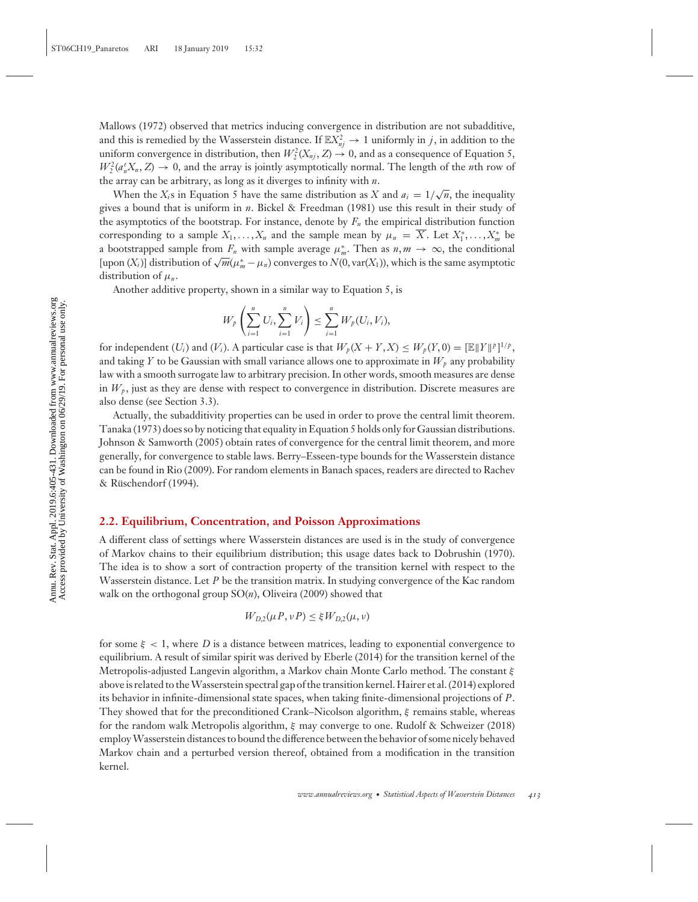Mallows (1972) observed that metrics inducing convergence in distribution are not subadditive, and this is remedied by the Wasserstein distance. If  $\mathbb{E}X_{nj}^2 \to 1$  uniformly in *j*, in addition to the uniform convergence in distribution, then  $W_2^2(X_{nj}, Z) \to 0$ , and as a consequence of Equation 5,  $W_2^2(a_n^t X_n, Z) \to 0$ , and the array is jointly asymptotically normal. The length of the *n*th row of the array can be arbitrary, as long as it diverges to infinity with *n*.

When the *X<sub>i</sub>*s in Equation 5 have the same distribution as *X* and  $a_i = 1/\sqrt{n}$ , the inequality gives a bound that is uniform in *n*. Bickel & Freedman (1981) use this result in their study of the asymptotics of the bootstrap. For instance, denote by  $F_n$  the empirical distribution function corresponding to a sample  $X_1, \ldots, X_n$  and the sample mean by  $\mu_n = \overline{X}$ . Let  $X_1^*, \ldots, X_m^*$  be a bootstrapped sample from  $F_n$  with sample average  $\mu_m^*$ . Then as  $n, m \to \infty$ , the conditional  $[upon (X<sub>i</sub>)]$  distribution of  $\sqrt{m}(\mu_m^* - \mu_n)$  converges to  $N(0, var(X_1))$ , which is the same asymptotic distribution of  $\mu_n$ .

Another additive property, shown in a similar way to Equation 5, is

$$
W_p\left(\sum_{i=1}^n U_i, \sum_{i=1}^n V_i\right) \le \sum_{i=1}^n W_p(U_i, V_i),
$$

for independent  $(U_i)$  and  $(V_i)$ . A particular case is that  $W_p(X + Y, X) \leq W_p(Y, 0) = [\mathbb{E} ||Y||^p]^{1/p}$ , and taking *Y* to be Gaussian with small variance allows one to approximate in  $W_p$  any probability law with a smooth surrogate law to arbitrary precision. In other words, smooth measures are dense in  $W_p$ , just as they are dense with respect to convergence in distribution. Discrete measures are also dense (see Section 3.3).

Actually, the subadditivity properties can be used in order to prove the central limit theorem. Tanaka (1973) does so by noticing that equality in Equation 5 holds only for Gaussian distributions. Johnson & Samworth (2005) obtain rates of convergence for the central limit theorem, and more generally, for convergence to stable laws. Berry–Esseen-type bounds for the Wasserstein distance can be found in Rio (2009). For random elements in Banach spaces, readers are directed to Rachev & Rüschendorf (1994).

#### **2.2. Equilibrium, Concentration, and Poisson Approximations**

A different class of settings where Wasserstein distances are used is in the study of convergence of Markov chains to their equilibrium distribution; this usage dates back to Dobrushin (1970). The idea is to show a sort of contraction property of the transition kernel with respect to the Wasserstein distance. Let *P* be the transition matrix. In studying convergence of the Kac random walk on the orthogonal group SO(*n*), Oliveira (2009) showed that

$$
W_{D,2}(\mu P, \nu P) \leq \xi W_{D,2}(\mu, \nu)
$$

for some  $\xi$  < 1, where *D* is a distance between matrices, leading to exponential convergence to equilibrium. A result of similar spirit was derived by Eberle (2014) for the transition kernel of the Metropolis-adjusted Langevin algorithm, a Markov chain Monte Carlo method. The constant ξ above is related to theWasserstein spectral gap of the transition kernel. Hairer et al. (2014) explored its behavior in infinite-dimensional state spaces, when taking finite-dimensional projections of *P*. They showed that for the preconditioned Crank–Nicolson algorithm,  $\xi$  remains stable, whereas for the random walk Metropolis algorithm, ξ may converge to one. Rudolf & Schweizer (2018) employWasserstein distances to bound the difference between the behavior of some nicely behaved Markov chain and a perturbed version thereof, obtained from a modification in the transition kernel.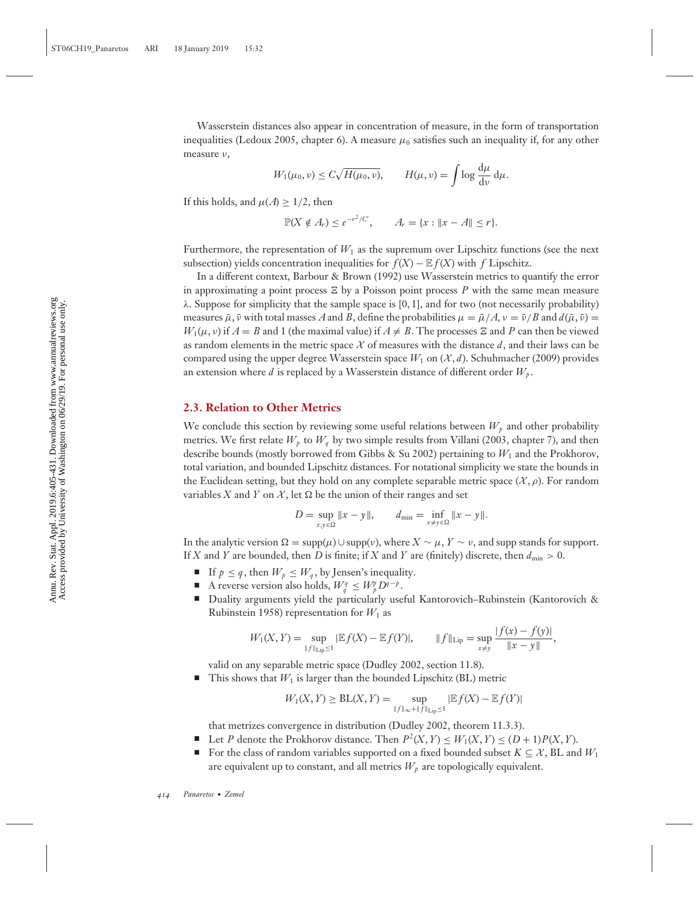Wasserstein distances also appear in concentration of measure, in the form of transportation inequalities (Ledoux 2005, chapter 6). A measure  $\mu_0$  satisfies such an inequality if, for any other measure ν,

$$
W_1(\mu_0, \nu) \le C\sqrt{H(\mu_0, \nu)}, \qquad H(\mu, \nu) = \int \log \frac{d\mu}{d\nu} d\mu.
$$

If this holds, and  $\mu(A) \geq 1/2$ , then

$$
\mathbb{P}(X \notin A_r) \leq e^{-r^2/C'}, \qquad A_r = \{x : ||x - A|| \leq r\}.
$$

Furthermore, the representation of  $W_1$  as the supremum over Lipschitz functions (see the next subsection) yields concentration inequalities for  $f(X) - \mathbb{E} f(X)$  with *f* Lipschitz.

In a different context, Barbour & Brown (1992) use Wasserstein metrics to quantify the error in approximating a point process  $\Xi$  by a Poisson point process P with the same mean measure  $λ$ . Suppose for simplicity that the sample space is [0, 1], and for two (not necessarily probability) measures  $\tilde{\mu}$ ,  $\tilde{\nu}$  with total masses *A* and *B*, define the probabilities  $\mu = \tilde{\mu}/A$ ,  $\nu = \tilde{\nu}/B$  and  $d(\tilde{\mu}, \tilde{\nu}) =$  $W_1(\mu, \nu)$  if  $A = B$  and 1 (the maximal value) if  $A \neq B$ . The processes  $\Xi$  and P can then be viewed as random elements in the metric space  $X$  of measures with the distance  $d$ , and their laws can be compared using the upper degree Wasserstein space  $W_1$  on  $(\mathcal{X}, d)$ . Schuhmacher (2009) provides an extension where *d* is replaced by a Wasserstein distance of different order  $W_p$ .

# **2.3. Relation to Other Metrics**

We conclude this section by reviewing some useful relations between  $W_p$  and other probability metrics. We first relate  $W_p$  to  $W_q$  by two simple results from Villani (2003, chapter 7), and then describe bounds (mostly borrowed from Gibbs & Su 2002) pertaining to *W*<sup>1</sup> and the Prokhorov, total variation, and bounded Lipschitz distances. For notational simplicity we state the bounds in the Euclidean setting, but they hold on any complete separable metric space  $(\mathcal{X}, \rho)$ . For random variables *X* and *Y* on *X*, let  $\Omega$  be the union of their ranges and set

$$
D = \sup_{x,y \in \Omega} \|x - y\|, \qquad d_{\min} = \inf_{x \neq y \in \Omega} \|x - y\|.
$$

In the analytic version  $\Omega = \text{supp}(\mu) \cup \text{supp}(\nu)$ , where  $X \sim \mu$ ,  $Y \sim \nu$ , and supp stands for support. If *X* and *Y* are bounded, then *D* is finite; if *X* and *Y* are (finitely) discrete, then  $d_{\min} > 0$ .

- If  $p \leq q$ , then  $W_p \leq W_q$ , by Jensen's inequality.
- A reverse version also holds,  $W_q^q \n\t\leq W_p^p D^{q-p}$ .
- Duality arguments yield the particularly useful Kantorovich–Rubinstein (Kantorovich & Rubinstein 1958) representation for  $W_1$  as

$$
W_1(X,Y) = \sup_{\|f\|_{\text{Lip}} \leq 1} |\mathbb{E}f(X) - \mathbb{E}f(Y)|, \qquad \|f\|_{\text{Lip}} = \sup_{x \neq y} \frac{|f(x) - f(y)|}{\|x - y\|},
$$

valid on any separable metric space (Dudley 2002, section 11.8).

 $\blacksquare$  This shows that  $W_1$  is larger than the bounded Lipschitz (BL) metric

$$
W_1(X,Y) \geq BL(X,Y) = \sup_{\|f\|_{\infty} + \|f\|_{\text{Lip}} \leq 1} |\mathbb{E}f(X) - \mathbb{E}f(Y)|
$$

that metrizes convergence in distribution (Dudley 2002, theorem 11.3.3).

- Let *P* denote the Prokhorov distance. Then  $P^2(X, Y) \leq W_1(X, Y) \leq (D + 1)P(X, Y)$ .
- For the class of random variables supported on a fixed bounded subset  $K \subseteq \mathcal{X}$ , BL and  $W_1$ are equivalent up to constant, and all metrics  $W_p$  are topologically equivalent.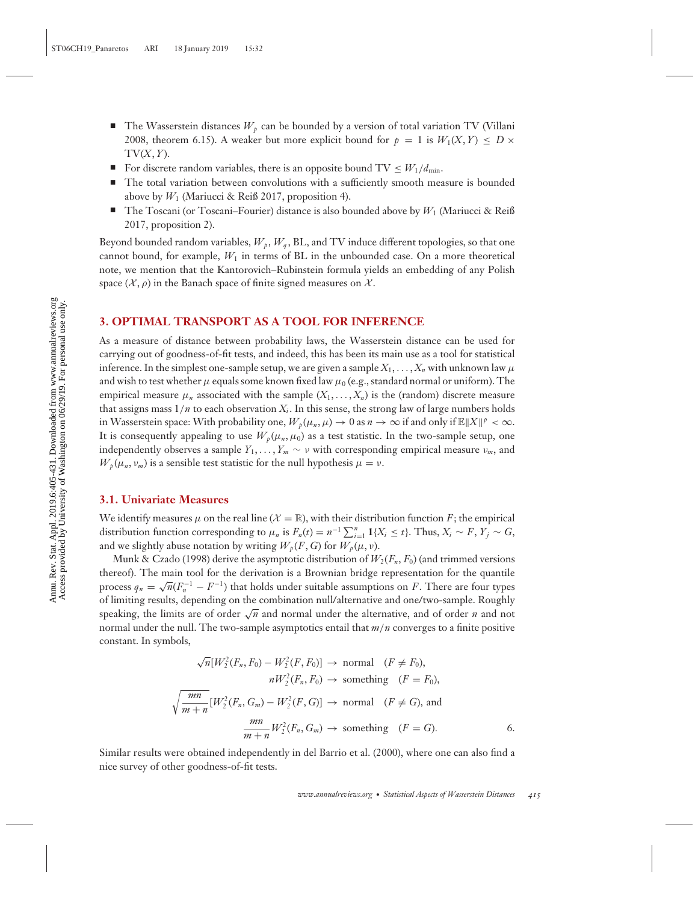- -The Wasserstein distances  $W_p$  can be bounded by a version of total variation TV (Villani 2008, theorem 6.15). A weaker but more explicit bound for  $p = 1$  is  $W_1(X, Y) \leq D \times$  $TV(X, Y)$ .
- -For discrete random variables, there is an opposite bound  $TV \leq W_1/d_{\min}$ .
- - The total variation between convolutions with a sufficiently smooth measure is bounded above by  $W_1$  (Mariucci & Reiß 2017, proposition 4).
- $\blacksquare$  The Toscani (or Toscani–Fourier) distance is also bounded above by  $W_1$  (Mariucci & Reiß 2017, proposition 2).

Beyond bounded random variables,  $W_p$ ,  $W_q$ , BL, and TV induce different topologies, so that one cannot bound, for example,  $W_1$  in terms of BL in the unbounded case. On a more theoretical note, we mention that the Kantorovich–Rubinstein formula yields an embedding of any Polish space  $(\mathcal{X}, \rho)$  in the Banach space of finite signed measures on  $\mathcal{X}$ .

# **3. OPTIMAL TRANSPORT AS A TOOL FOR INFERENCE**

As a measure of distance between probability laws, the Wasserstein distance can be used for carrying out of goodness-of-fit tests, and indeed, this has been its main use as a tool for statistical inference. In the simplest one-sample setup, we are given a sample  $X_1, \ldots, X_n$  with unknown law  $\mu$ and wish to test whether  $\mu$  equals some known fixed law  $\mu_0$  (e.g., standard normal or uniform). The empirical measure  $\mu_n$  associated with the sample  $(X_1, \ldots, X_n)$  is the (random) discrete measure that assigns mass  $1/n$  to each observation  $X_i$ . In this sense, the strong law of large numbers holds in Wasserstein space: With probability one,  $W_p(\mu_n, \mu) \to 0$  as  $n \to \infty$  if and only if  $\mathbb{E} \|X\|^p < \infty$ . It is consequently appealing to use  $W_p(\mu_n, \mu_0)$  as a test statistic. In the two-sample setup, one independently observes a sample  $Y_1, \ldots, Y_m \sim v$  with corresponding empirical measure  $v_m$ , and  $W_p(\mu_n, \nu_m)$  is a sensible test statistic for the null hypothesis  $\mu = \nu$ .

#### **3.1. Univariate Measures**

We identify measures  $\mu$  on the real line ( $\mathcal{X} = \mathbb{R}$ ), with their distribution function *F*; the empirical distribution function corresponding to  $\mu_n$  is  $F_n(t) = n^{-1} \sum_{i=1}^n \mathbf{1}\{X_i \le t\}$ . Thus,  $X_i \sim F$ ,  $Y_j \sim G$ , and we slightly abuse notation by writing  $W_p(F, G)$  for  $W_p(\mu, \nu)$ .

Munk & Czado (1998) derive the asymptotic distribution of  $W_2(F_n, F_0)$  (and trimmed versions thereof). The main tool for the derivation is a Brownian bridge representation for the quantile process  $q_n = \sqrt{n}(F_n^{-1} - F^{-1})$  that holds under suitable assumptions on *F*. There are four types of limiting results, depending on the combination null/alternative and one/two-sample. Roughly speaking, the limits are of order <sup>√</sup>*<sup>n</sup>* and normal under the alternative, and of order *<sup>n</sup>* and not normal under the null. The two-sample asymptotics entail that *m*/*n* converges to a finite positive constant. In symbols,

$$
\sqrt{n}[W_2^2(F_n, F_0) - W_2^2(F, F_0)] \rightarrow \text{normal} \quad (F \neq F_0),
$$
  
\n
$$
nW_2^2(F_n, F_0) \rightarrow \text{something} \quad (F = F_0),
$$
  
\n
$$
\sqrt{\frac{mn}{m+n}}[W_2^2(F_n, G_m) - W_2^2(F, G)] \rightarrow \text{normal} \quad (F \neq G), \text{ and}
$$
  
\n
$$
\frac{mn}{m+n}W_2^2(F_n, G_m) \rightarrow \text{something} \quad (F = G).
$$

Similar results were obtained independently in del Barrio et al. (2000), where one can also find a nice survey of other goodness-of-fit tests.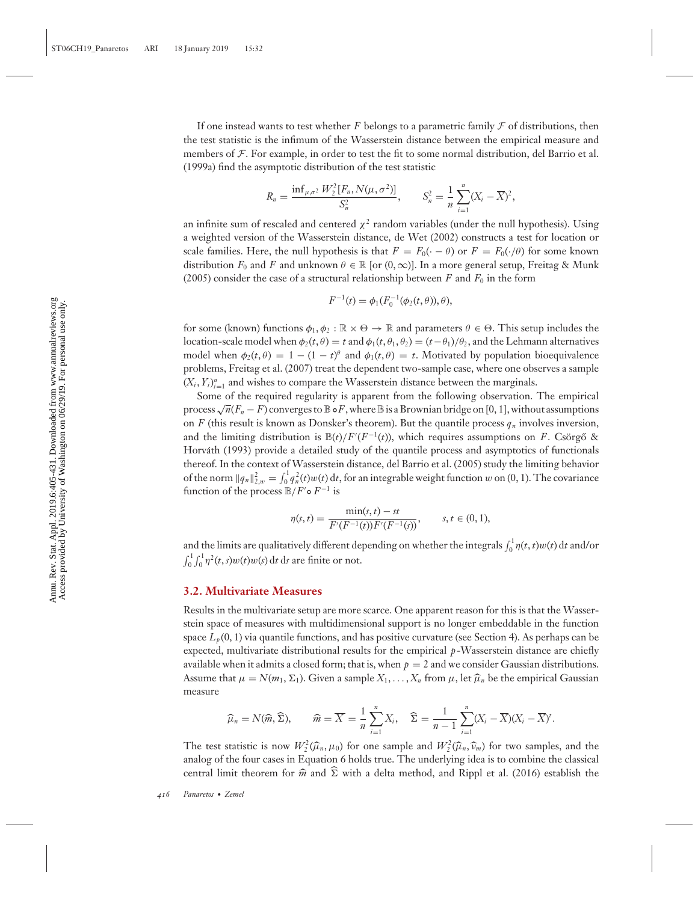If one instead wants to test whether *F* belongs to a parametric family  $\mathcal F$  of distributions, then the test statistic is the infimum of the Wasserstein distance between the empirical measure and members of  $\mathcal F$ . For example, in order to test the fit to some normal distribution, del Barrio et al. (1999a) find the asymptotic distribution of the test statistic

$$
R_n = \frac{\inf_{\mu,\sigma^2} W_2^2 [F_n, N(\mu, \sigma^2)]}{S_n^2}, \qquad S_n^2 = \frac{1}{n} \sum_{i=1}^n (X_i - \overline{X})^2,
$$

an infinite sum of rescaled and centered  $\chi^2$  random variables (under the null hypothesis). Using a weighted version of the Wasserstein distance, de Wet (2002) constructs a test for location or scale families. Here, the null hypothesis is that  $F = F_0(\cdot - \theta)$  or  $F = F_0(\cdot/\theta)$  for some known distribution  $F_0$  and  $F$  and unknown  $\theta \in \mathbb{R}$  [or  $(0, \infty)$ ]. In a more general setup, Freitag & Munk (2005) consider the case of a structural relationship between  $F$  and  $F_0$  in the form

$$
F^{-1}(t) = \phi_1(F_0^{-1}(\phi_2(t,\theta)), \theta),
$$

for some (known) functions  $\phi_1, \phi_2 : \mathbb{R} \times \Theta \to \mathbb{R}$  and parameters  $\theta \in \Theta$ . This setup includes the location-scale model when  $\phi_2(t, \theta) = t$  and  $\phi_1(t, \theta_1, \theta_2) = (t - \theta_1)/\theta_2$ , and the Lehmann alternatives model when  $\phi_2(t, \theta) = 1 - (1 - t)^{\theta}$  and  $\phi_1(t, \theta) = t$ . Motivated by population bioequivalence problems, Freitag et al. (2007) treat the dependent two-sample case, where one observes a sample  $(X_i, Y_i)_{i=1}^n$  and wishes to compare the Wasserstein distance between the marginals.

Some of the required regularity is apparent from the following observation. The empirical process  $\sqrt{n}(F_n - F)$  converges to  $\mathbb B \circ F$ , where  $\mathbb B$  is a Brownian bridge on [0, 1], without assumptions on *F* (this result is known as Donsker's theorem). But the quantile process  $q_n$  involves inversion, and the limiting distribution is  $\mathbb{B}(t)/F'(F^{-1}(t))$ , which requires assumptions on *F*. Csörgő & Horvath (1993) provide a detailed study of the quantile process and asymptotics of functionals ´ thereof. In the context of Wasserstein distance, del Barrio et al. (2005) study the limiting behavior of the norm  $||q_n||_{2,w}^2 = \int_0^1 q_n^2(t)w(t) dt$ , for an integrable weight function w on (0, 1). The covariance function of the process  $\mathbb{B}/F' \circ F^{-1}$  is

$$
\eta(s,t) = \frac{\min(s,t) - st}{F'(F^{-1}(t))F'(F^{-1}(s))}, \qquad s, t \in (0,1),
$$

and the limits are qualitatively different depending on whether the integrals  $\int_0^1 \eta(t,t) w(t) dt$  and/or  $\int_0^1 \int_0^1 \eta^2(t, s) w(t) w(s) dt$  d*s* are finite or not.

#### **3.2. Multivariate Measures**

Results in the multivariate setup are more scarce. One apparent reason for this is that the Wasserstein space of measures with multidimensional support is no longer embeddable in the function space  $L_p(0, 1)$  via quantile functions, and has positive curvature (see Section 4). As perhaps can be expected, multivariate distributional results for the empirical *p*-Wasserstein distance are chiefly available when it admits a closed form; that is, when  $p = 2$  and we consider Gaussian distributions. Assume that  $\mu = N(m_1, \Sigma_1)$ . Given a sample  $X_1, \ldots, X_n$  from  $\mu$ , let  $\widehat{\mu}_n$  be the empirical Gaussian measure

$$
\widehat{\mu}_n = N(\widehat{m}, \widehat{\Sigma}), \qquad \widehat{m} = \overline{X} = \frac{1}{n} \sum_{i=1}^n X_i, \quad \widehat{\Sigma} = \frac{1}{n-1} \sum_{i=1}^n (X_i - \overline{X})(X_i - \overline{X})^t.
$$

The test statistic is now  $W_2^2(\widehat{\mu}_n, \mu_0)$  for one sample and  $W_2^2(\widehat{\mu}_n, \widehat{\nu}_m)$  for two samples, and the analog of the four cases in Equation 6 holds true. The underlying idea is to combine the classical central limit theorem for  $\hat{m}$  and  $\hat{\Sigma}$  with a delta method, and Rippl et al. (2016) establish the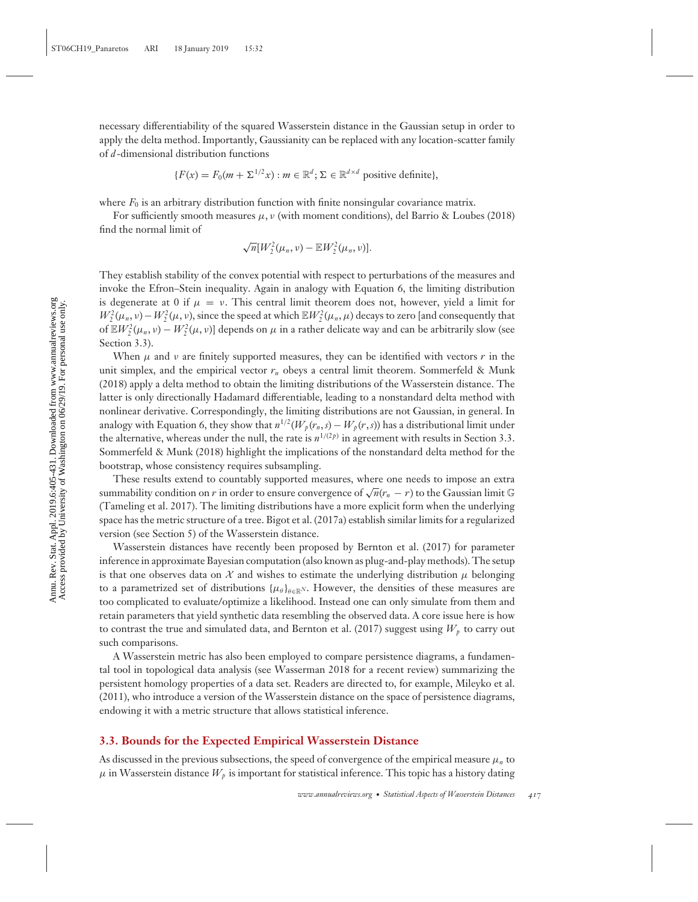$$
\{F(x) = F_0(m + \Sigma^{1/2} x) : m \in \mathbb{R}^d; \Sigma \in \mathbb{R}^{d \times d} \text{ positive definite}\},\
$$

where  $F_0$  is an arbitrary distribution function with finite nonsingular covariance matrix.

For sufficiently smooth measures  $\mu$ ,  $\nu$  (with moment conditions), del Barrio & Loubes (2018) find the normal limit of

$$
\sqrt{n}[W_2^2(\mu_n,\nu)-\mathbb{E}W_2^2(\mu_n,\nu)].
$$

They establish stability of the convex potential with respect to perturbations of the measures and invoke the Efron–Stein inequality. Again in analogy with Equation 6, the limiting distribution is degenerate at 0 if  $\mu = \nu$ . This central limit theorem does not, however, yield a limit for  $W_2^2(\mu_n, \nu) - W_2^2(\mu, \nu)$ , since the speed at which  $\mathbb{E}W_2^2(\mu_n, \mu)$  decays to zero [and consequently that of  $\mathbb{E}W_2^2(\mu_n, \nu) - W_2^2(\mu, \nu)$ ] depends on  $\mu$  in a rather delicate way and can be arbitrarily slow (see Section 3.3).

When  $\mu$  and  $\nu$  are finitely supported measures, they can be identified with vectors  $r$  in the unit simplex, and the empirical vector  $r_n$  obeys a central limit theorem. Sommerfeld & Munk (2018) apply a delta method to obtain the limiting distributions of the Wasserstein distance. The latter is only directionally Hadamard differentiable, leading to a nonstandard delta method with nonlinear derivative. Correspondingly, the limiting distributions are not Gaussian, in general. In analogy with Equation 6, they show that  $n^{1/2}(W_p(r_n, s) - W_p(r, s))$  has a distributional limit under the alternative, whereas under the null, the rate is  $n^{1/(2p)}$  in agreement with results in Section 3.3. Sommerfeld & Munk (2018) highlight the implications of the nonstandard delta method for the bootstrap, whose consistency requires subsampling.

These results extend to countably supported measures, where one needs to impose an extra summability condition on *r* in order to ensure convergence of  $\sqrt{n}(r_n - r)$  to the Gaussian limit G (Tameling et al. 2017). The limiting distributions have a more explicit form when the underlying space has the metric structure of a tree. Bigot et al. (2017a) establish similar limits for a regularized version (see Section 5) of the Wasserstein distance.

Wasserstein distances have recently been proposed by Bernton et al. (2017) for parameter inference in approximate Bayesian computation (also known as plug-and-play methods). The setup is that one observes data on  $\mathcal X$  and wishes to estimate the underlying distribution  $\mu$  belonging to a parametrized set of distributions  $\{\mu_\theta\}_{\theta \in \mathbb{R}^N}$ . However, the densities of these measures are too complicated to evaluate/optimize a likelihood. Instead one can only simulate from them and retain parameters that yield synthetic data resembling the observed data. A core issue here is how to contrast the true and simulated data, and Bernton et al. (2017) suggest using  $W_p$  to carry out such comparisons.

A Wasserstein metric has also been employed to compare persistence diagrams, a fundamental tool in topological data analysis (see Wasserman 2018 for a recent review) summarizing the persistent homology properties of a data set. Readers are directed to, for example, Mileyko et al. (2011), who introduce a version of the Wasserstein distance on the space of persistence diagrams, endowing it with a metric structure that allows statistical inference.

## **3.3. Bounds for the Expected Empirical Wasserstein Distance**

As discussed in the previous subsections, the speed of convergence of the empirical measure μ*<sup>n</sup>* to  $\mu$  in Wasserstein distance  $W_p$  is important for statistical inference. This topic has a history dating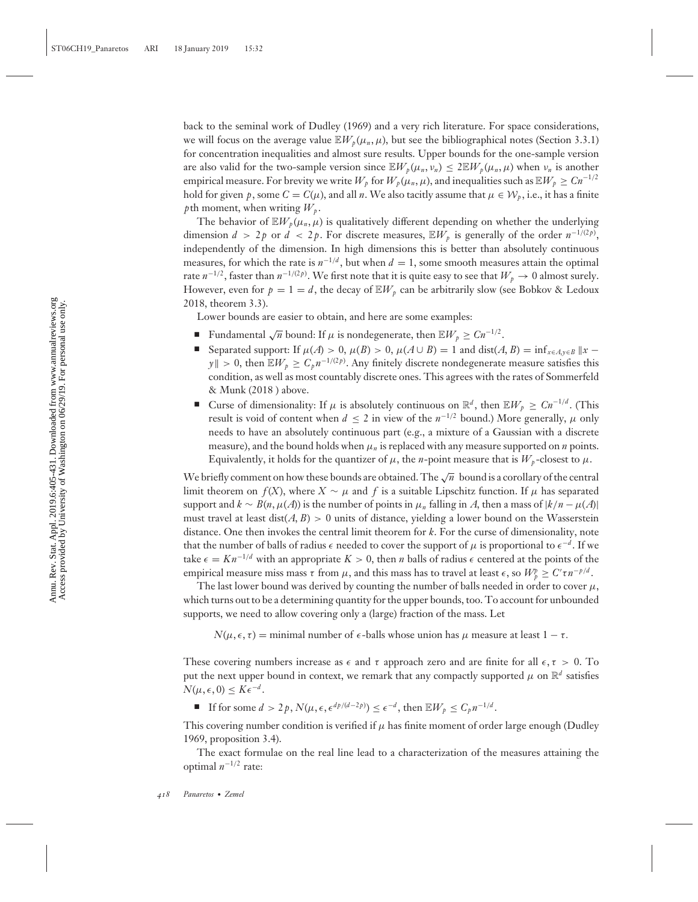back to the seminal work of Dudley (1969) and a very rich literature. For space considerations, we will focus on the average value  $\mathbb{E}W_p(\mu_n,\mu)$ , but see the bibliographical notes (Section 3.3.1) for concentration inequalities and almost sure results. Upper bounds for the one-sample version are also valid for the two-sample version since  $\mathbb{E}W_p(\mu_n, \nu_n) \leq 2\mathbb{E}W_p(\mu_n, \mu)$  when  $\nu_n$  is another empirical measure. For brevity we write  $W_p$  for  $W_p(\mu_n, \mu)$ , and inequalities such as  $\mathbb{E}W_p \geq Cn^{-1/2}$ hold for given *p*, some  $C = C(\mu)$ , and all *n*. We also tacitly assume that  $\mu \in \mathcal{W}_p$ , i.e., it has a finite *p*th moment, when writing  $W_{\nu}$ .

The behavior of  $\mathbb{E}W_p(\mu_n,\mu)$  is qualitatively different depending on whether the underlying dimension  $d > 2p$  or  $d < 2p$ . For discrete measures,  $\mathbb{E}W_p$  is generally of the order  $n^{-1/(2p)}$ . independently of the dimension. In high dimensions this is better than absolutely continuous measures, for which the rate is  $n^{-1/d}$ , but when  $d = 1$ , some smooth measures attain the optimal rate  $n^{-1/2}$ , faster than  $n^{-1/(2p)}$ . We first note that it is quite easy to see that  $W_p \to 0$  almost surely. However, even for  $p = 1 = d$ , the decay of  $\mathbb{E}W_p$  can be arbitrarily slow (see Bobkov & Ledoux 2018, theorem 3.3).

Lower bounds are easier to obtain, and here are some examples:

- Fundamental  $\sqrt{n}$  bound: If  $\mu$  is nondegenerate, then  $\mathbb{E}W_p \ge Cn^{-1/2}$ .
- Separated support: If  $\mu(A) > 0$ ,  $\mu(B) > 0$ ,  $\mu(A \cup B) = 1$  and dist(*A*, *B*) = inf<sub>*x*∈*A*,*y*∈*B* ||*x* −</sub> *y*∥ > 0, then  $\mathbb{E}W_p$  ≥  $C_p n^{-1/(2p)}$ . Any finitely discrete nondegenerate measure satisfies this condition, as well as most countably discrete ones. This agrees with the rates of Sommerfeld & Munk (2018 ) above.
- Curse of dimensionality: If  $\mu$  is absolutely continuous on  $\mathbb{R}^d$ , then  $\mathbb{E}W_p \geq Cn^{-1/d}$ . (This result is void of content when  $d \leq 2$  in view of the  $n^{-1/2}$  bound.) More generally,  $\mu$  only needs to have an absolutely continuous part (e.g., a mixture of a Gaussian with a discrete measure), and the bound holds when  $\mu_n$  is replaced with any measure supported on  $n$  points. Equivalently, it holds for the quantizer of  $\mu$ , the *n*-point measure that is  $W_p$ -closest to  $\mu$ .

We briefly comment on how these bounds are obtained. The  $\sqrt{n}$  bound is a corollary of the central limit theorem on  $f(X)$ , where  $X \sim \mu$  and f is a suitable Lipschitz function. If  $\mu$  has separated support and  $k \sim B(n, \mu(A))$  is the number of points in  $\mu_n$  falling in *A*, then a mass of  $|k/n - \mu(A)|$ must travel at least dist( $A, B$ ) > 0 units of distance, yielding a lower bound on the Wasserstein distance. One then invokes the central limit theorem for *k*. For the curse of dimensionality, note that the number of balls of radius  $\epsilon$  needed to cover the support of  $\mu$  is proportional to  $\epsilon^{-d}$ . If we take  $\epsilon = Kn^{-1/d}$  with an appropriate  $K > 0$ , then *n* balls of radius  $\epsilon$  centered at the points of the empirical measure miss mass  $\tau$  from  $\mu$ , and this mass has to travel at least  $\epsilon$ , so  $W_{p}^{p} \geq C' \tau n^{-p/d}$ .

The last lower bound was derived by counting the number of balls needed in order to cover  $\mu$ , which turns out to be a determining quantity for the upper bounds, too. To account for unbounded supports, we need to allow covering only a (large) fraction of the mass. Let

 $N(\mu, \epsilon, \tau)$  = minimal number of  $\epsilon$ -balls whose union has  $\mu$  measure at least  $1 - \tau$ .

These covering numbers increase as  $\epsilon$  and  $\tau$  approach zero and are finite for all  $\epsilon, \tau > 0$ . To put the next upper bound in context, we remark that any compactly supported  $\mu$  on  $\mathbb{R}^d$  satisfies  $N(\mu, \epsilon, 0) \leq K \epsilon^{-d}$ .

■ If for some  $d > 2p$ ,  $N(\mu, \epsilon, \epsilon^{dp/(d-2p)}) \leq \epsilon^{-d}$ , then  $\mathbb{E}W_p \leq C_p n^{-1/d}$ .

This covering number condition is verified if  $\mu$  has finite moment of order large enough (Dudley 1969, proposition 3.4).

The exact formulae on the real line lead to a characterization of the measures attaining the optimal *n*<sup>−</sup>1/<sup>2</sup> rate: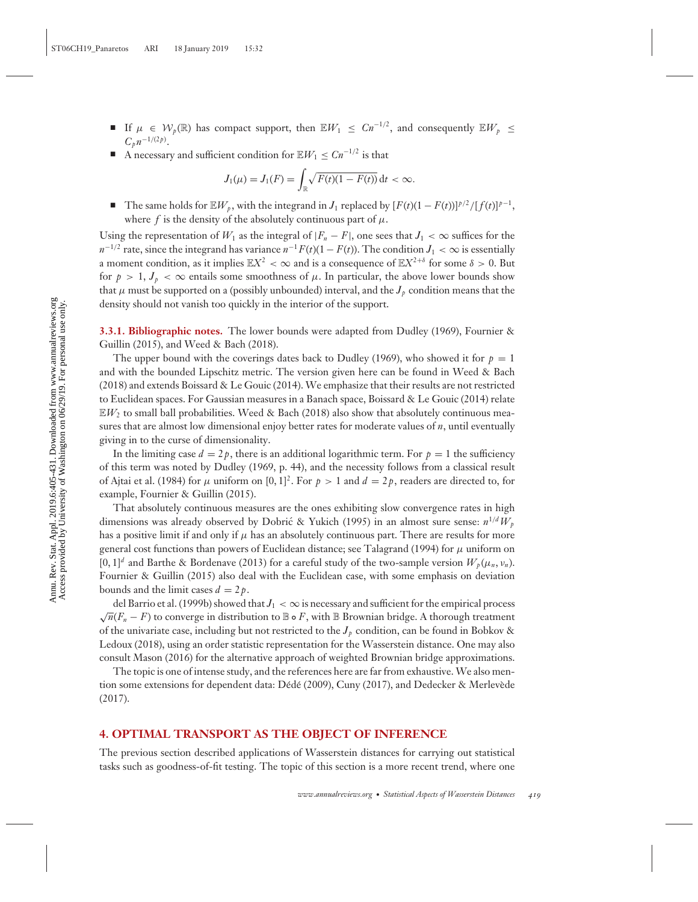- **■** If  $\mu \in \mathcal{W}_p(\mathbb{R})$  has compact support, then  $\mathbb{E}W_1 \leq Cn^{-1/2}$ , and consequently  $\mathbb{E}W_p \leq$  $C_p n^{-1/(2p)}$ .
- A necessary and sufficient condition for  $\mathbb{E}[W] \le Cn^{-1/2}$  is that

$$
J_1(\mu) = J_1(F) = \int_{\mathbb{R}} \sqrt{F(t)(1 - F(t))} \, \mathrm{d}t < \infty.
$$

-The same holds for  $\mathbb{E}W_p$ , with the integrand in *J*<sub>1</sub> replaced by  $[F(t)(1 - F(t))]^{p/2}/[f(t)]^{p-1}$ , where *f* is the density of the absolutely continuous part of  $\mu$ .

Using the representation of  $W_1$  as the integral of  $|F_n - F|$ , one sees that  $J_1 < \infty$  suffices for the  $n^{-1/2}$  rate, since the integrand has variance  $n^{-1}F(t)(1-F(t))$ . The condition  $J_1 < \infty$  is essentially a moment condition, as it implies  $\mathbb{E}X^2 < \infty$  and is a consequence of  $\mathbb{E}X^{2+\delta}$  for some  $\delta > 0$ . But for  $p > 1$ ,  $J_p < \infty$  entails some smoothness of  $\mu$ . In particular, the above lower bounds show that  $\mu$  must be supported on a (possibly unbounded) interval, and the  $J_p$  condition means that the density should not vanish too quickly in the interior of the support.

**3.3.1. Bibliographic notes.** The lower bounds were adapted from Dudley (1969), Fournier & Guillin (2015), and Weed & Bach (2018).

The upper bound with the coverings dates back to Dudley (1969), who showed it for  $p = 1$ and with the bounded Lipschitz metric. The version given here can be found in Weed & Bach (2018) and extends Boissard & Le Gouic (2014). We emphasize that their results are not restricted to Euclidean spaces. For Gaussian measures in a Banach space, Boissard & Le Gouic (2014) relate  $E/W_2$  to small ball probabilities. Weed & Bach (2018) also show that absolutely continuous measures that are almost low dimensional enjoy better rates for moderate values of *n*, until eventually giving in to the curse of dimensionality.

In the limiting case  $d = 2p$ , there is an additional logarithmic term. For  $p = 1$  the sufficiency of this term was noted by Dudley (1969, p. 44), and the necessity follows from a classical result of Ajtai et al. (1984) for  $\mu$  uniform on [0, 1]<sup>2</sup>. For  $p > 1$  and  $d = 2p$ , readers are directed to, for example, Fournier & Guillin (2015).

That absolutely continuous measures are the ones exhibiting slow convergence rates in high dimensions was already observed by Dobric & Yukich (1995) in an almost sure sense:  $n^{1/d}W_p$ has a positive limit if and only if  $\mu$  has an absolutely continuous part. There are results for more general cost functions than powers of Euclidean distance; see Talagrand (1994) for  $\mu$  uniform on  $[0, 1]^d$  and Barthe & Bordenave (2013) for a careful study of the two-sample version  $W_p(\mu_n, \nu_n)$ . Fournier & Guillin (2015) also deal with the Euclidean case, with some emphasis on deviation bounds and the limit cases  $d = 2p$ .

del Barrio et al. (1999b) showed that  $J_1 < \infty$  is necessary and sufficient for the empirical process  $\sqrt{n}(F_n - F)$  to converge in distribution to B **◦** *F*, with B Brownian bridge. A thorough treatment of the univariate case, including but not restricted to the  $J_p$  condition, can be found in Bobkov & Ledoux (2018), using an order statistic representation for the Wasserstein distance. One may also consult Mason (2016) for the alternative approach of weighted Brownian bridge approximations.

The topic is one of intense study, and the references here are far from exhaustive. We also mention some extensions for dependent data: Dédé (2009), Cuny (2017), and Dedecker & Merlevède (2017).

# **4. OPTIMAL TRANSPORT AS THE OBJECT OF INFERENCE**

The previous section described applications of Wasserstein distances for carrying out statistical tasks such as goodness-of-fit testing. The topic of this section is a more recent trend, where one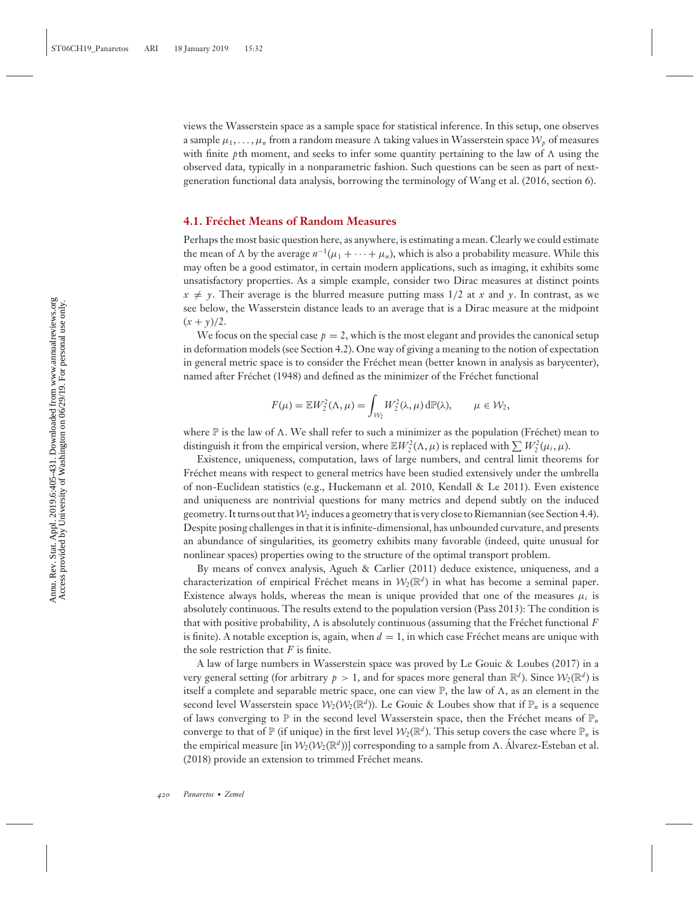views the Wasserstein space as a sample space for statistical inference. In this setup, one observes a sample  $\mu_1, \ldots, \mu_n$  from a random measure  $\Lambda$  taking values in Wasserstein space  $\mathcal{W}_p$  of measures with finite *p*th moment, and seeks to infer some quantity pertaining to the law of  $\Lambda$  using the observed data, typically in a nonparametric fashion. Such questions can be seen as part of nextgeneration functional data analysis, borrowing the terminology of Wang et al. (2016, section 6).

## **4.1. Frechet Means of Random Measures ´**

Perhaps the most basic question here, as anywhere, is estimating a mean. Clearly we could estimate the mean of  $\Lambda$  by the average  $n^{-1}(\mu_1 + \cdots + \mu_n)$ , which is also a probability measure. While this may often be a good estimator, in certain modern applications, such as imaging, it exhibits some unsatisfactory properties. As a simple example, consider two Dirac measures at distinct points  $x \neq y$ . Their average is the blurred measure putting mass 1/2 at *x* and *y*. In contrast, as we see below, the Wasserstein distance leads to an average that is a Dirac measure at the midpoint  $(x + y)/2$ .

We focus on the special case  $p = 2$ , which is the most elegant and provides the canonical setup in deformation models (see Section 4.2). One way of giving a meaning to the notion of expectation in general metric space is to consider the Frechet mean (better known in analysis as barycenter), ´ named after Fréchet (1948) and defined as the minimizer of the Fréchet functional

$$
F(\mu) = \mathbb{E}W_2^2(\Lambda, \mu) = \int_{\mathcal{W}_2} W_2^2(\lambda, \mu) d\mathbb{P}(\lambda), \qquad \mu \in \mathcal{W}_2,
$$

where  $\mathbb P$  is the law of  $\Lambda$ . We shall refer to such a minimizer as the population (Fréchet) mean to distinguish it from the empirical version, where  $\mathbb{E}W_2^2(\Lambda,\mu)$  is replaced with  $\sum W_2^2(\mu_i,\mu)$ .

Existence, uniqueness, computation, laws of large numbers, and central limit theorems for Fréchet means with respect to general metrics have been studied extensively under the umbrella of non-Euclidean statistics (e.g., Huckemann et al. 2010, Kendall & Le 2011). Even existence and uniqueness are nontrivial questions for many metrics and depend subtly on the induced geometry. It turns out that  $\mathcal{W}_2$  induces a geometry that is very close to Riemannian (see Section 4.4). Despite posing challenges in that it is infinite-dimensional, has unbounded curvature, and presents an abundance of singularities, its geometry exhibits many favorable (indeed, quite unusual for nonlinear spaces) properties owing to the structure of the optimal transport problem.

By means of convex analysis, Agueh & Carlier (2011) deduce existence, uniqueness, and a characterization of empirical Fréchet means in  $W_2(\mathbb{R}^d)$  in what has become a seminal paper. Existence always holds, whereas the mean is unique provided that one of the measures  $\mu_i$  is absolutely continuous. The results extend to the population version (Pass 2013): The condition is that with positive probability,  $\Lambda$  is absolutely continuous (assuming that the Frechet functional  $\ddot{F}$ is finite). A notable exception is, again, when  $d = 1$ , in which case Fréchet means are unique with the sole restriction that *F* is finite.

A law of large numbers in Wasserstein space was proved by Le Gouic & Loubes (2017) in a very general setting (for arbitrary  $p > 1$ , and for spaces more general than  $\mathbb{R}^d$ ). Since  $\mathcal{W}_2(\mathbb{R}^d)$  is itself a complete and separable metric space, one can view  $\mathbb{P}$ , the law of  $\Lambda$ , as an element in the second level Wasserstein space  $W_2(W_2(\mathbb{R}^d))$ . Le Gouic & Loubes show that if  $\mathbb{P}_n$  is a sequence of laws converging to  $\mathbb P$  in the second level Wasserstein space, then the Fréchet means of  $\mathbb P_n$ converge to that of  $\mathbb P$  (if unique) in the first level  $\mathcal W_2(\mathbb R^d)$ . This setup covers the case where  $\mathbb P_n$  is the empirical measure [in  $\mathcal{W}_2(\mathcal{W}_2(\mathbb{R}^d))$ ] corresponding to a sample from  $\Lambda$ . Alvarez-Esteban et al. (2018) provide an extension to trimmed Fréchet means.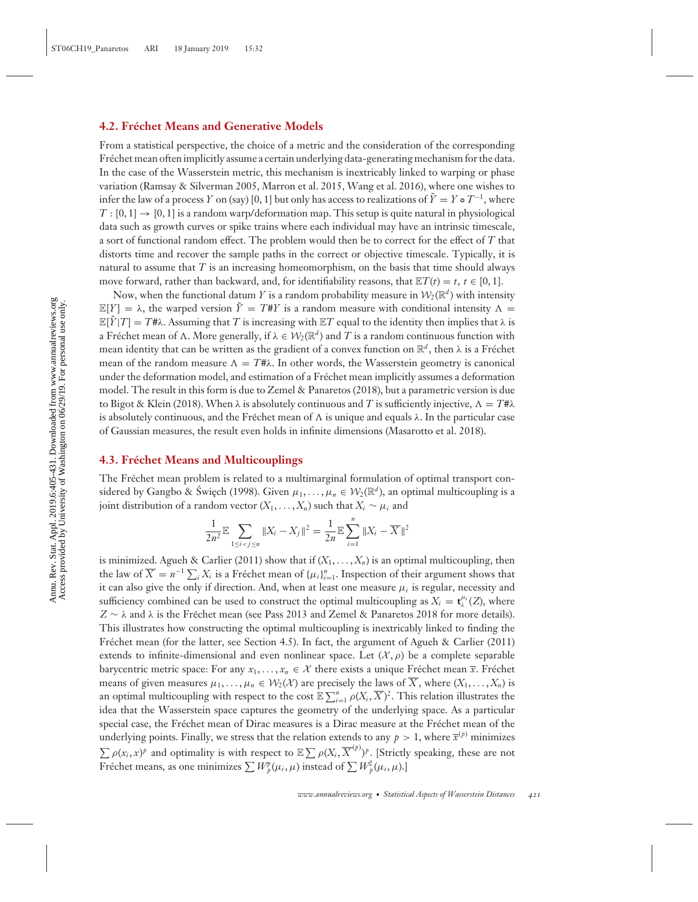#### **4.2. Frechet Means and Generative Models ´**

From a statistical perspective, the choice of a metric and the consideration of the corresponding Fréchet mean often implicitly assume a certain underlying data-generating mechanism for the data. In the case of the Wasserstein metric, this mechanism is inextricably linked to warping or phase variation (Ramsay & Silverman 2005, Marron et al. 2015, Wang et al. 2016), where one wishes to infer the law of a process *Y* on (say) [0, 1] but only has access to realizations of  $\tilde{Y} = Y \circ T^{-1}$ , where  $T : [0, 1] \rightarrow [0, 1]$  is a random warp/deformation map. This setup is quite natural in physiological data such as growth curves or spike trains where each individual may have an intrinsic timescale, a sort of functional random effect. The problem would then be to correct for the effect of *T* that distorts time and recover the sample paths in the correct or objective timescale. Typically, it is natural to assume that  $T$  is an increasing homeomorphism, on the basis that time should always move forward, rather than backward, and, for identifiability reasons, that  $\mathbb{E}T(t) = t$ ,  $t \in [0, 1]$ .

Now, when the functional datum *Y* is a random probability measure in  $W_2(\mathbb{R}^d)$  with intensity  $\mathbb{E}[Y] = \lambda$ , the warped version  $\tilde{Y} = T \# Y$  is a random measure with conditional intensity  $\Lambda =$  $\mathbb{E}[\tilde{Y}|T] = T\sharp\lambda$ . Assuming that *T* is increasing with  $\mathbb{E}T$  equal to the identity then implies that  $\lambda$  is a Fréchet mean of  $\Lambda$ . More generally, if  $\lambda \in \mathcal{W}_2(\mathbb{R}^d)$  and T is a random continuous function with mean identity that can be written as the gradient of a convex function on  $\mathbb{R}^d$ , then  $\lambda$  is a Fréchet mean of the random measure  $\Lambda = T \# \lambda$ . In other words, the Wasserstein geometry is canonical under the deformation model, and estimation of a Frechet mean implicitly assumes a deformation ´ model. The result in this form is due to Zemel & Panaretos (2018), but a parametric version is due to Bigot & Klein (2018). When  $\lambda$  is absolutely continuous and T is sufficiently injective,  $\Lambda = T^* \lambda$ is absolutely continuous, and the Fréchet mean of  $\Lambda$  is unique and equals  $\lambda$ . In the particular case of Gaussian measures, the result even holds in infinite dimensions (Masarotto et al. 2018).

# **4.3. Frechet Means and Multicouplings ´**

The Fréchet mean problem is related to a multimarginal formulation of optimal transport considered by Gangbo & Swiech (1998). Given  $\mu_1, \ldots, \mu_n \in \mathcal{W}_2(\mathbb{R}^d)$ , an optimal multicoupling is a joint distribution of a random vector  $(X_1, \ldots, X_n)$  such that  $X_i \sim \mu_i$  and

$$
\frac{1}{2n^2} \mathbb{E} \sum_{1 \le i < j \le n} \|X_i - X_j\|^2 = \frac{1}{2n} \mathbb{E} \sum_{i=1}^n \|X_i - \overline{X}\|^2
$$

is minimized. Agueh & Carlier (2011) show that if  $(X_1, \ldots, X_n)$  is an optimal multicoupling, then the law of  $\overline{X} = n^{-1} \sum_i X_i$  is a Fréchet mean of  $\{\mu_i\}_{i=1}^n$ . Inspection of their argument shows that it can also give the only if direction. And, when at least one measure μ*<sup>i</sup>* is regular, necessity and sufficiency combined can be used to construct the optimal multicoupling as  $X_i = \mathbf{t}_{\lambda}^{\mu_i}(Z)$ , where  $Z \sim \lambda$  and  $\lambda$  is the Fréchet mean (see Pass 2013 and Zemel & Panaretos 2018 for more details). This illustrates how constructing the optimal multicoupling is inextricably linked to finding the Fréchet mean (for the latter, see Section 4.5). In fact, the argument of Agueh & Carlier (2011) extends to infinite-dimensional and even nonlinear space. Let  $(\mathcal{X}, \rho)$  be a complete separable barycentric metric space: For any  $x_1, \ldots, x_n \in \mathcal{X}$  there exists a unique Fréchet mean  $\bar{x}$ . Fréchet means of given measures  $\mu_1, \ldots, \mu_n \in \mathcal{W}_2(\mathcal{X})$  are precisely the laws of  $\overline{X}$ , where  $(X_1, \ldots, X_n)$  is an optimal multicoupling with respect to the cost  $\mathbb{E}\sum_{i=1}^n \rho(X_i,\overline{X})^2$ . This relation illustrates the idea that the Wasserstein space captures the geometry of the underlying space. As a particular special case, the Fréchet mean of Dirac measures is a Dirac measure at the Fréchet mean of the underlying points. Finally, we stress that the relation extends to any  $p > 1$ , where  $\bar{x}^{(p)}$  minimizes  $\sum \rho(x_i, x)^p$  and optimality is with respect to  $\mathbb{E} \sum \rho(X_i, \overline{X}^{(p)})^p$ . [Strictly speaking, these are not Fréchet means, as one minimizes  $\sum W_p^p(\mu_i, \mu)$  instead of  $\sum W_p^2(\mu_i, \mu)$ .]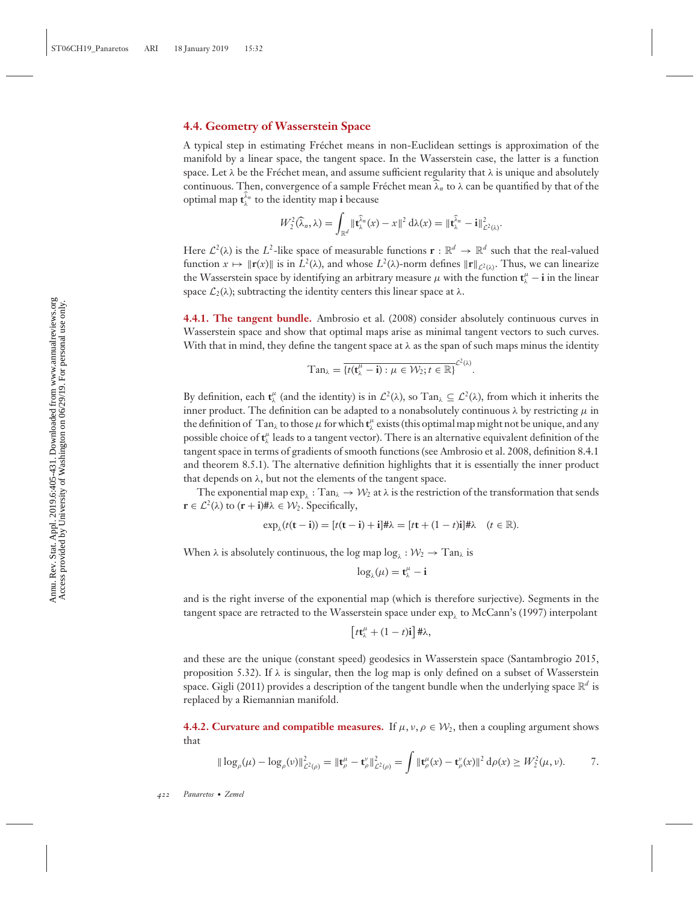# **4.4. Geometry of Wasserstein Space**

A typical step in estimating Frechet means in non-Euclidean settings is approximation of the ´ manifold by a linear space, the tangent space. In the Wasserstein case, the latter is a function space. Let  $\lambda$  be the Fréchet mean, and assume sufficient regularity that  $\lambda$  is unique and absolutely continuous. Then, convergence of a sample Fréchet mean  $\widehat{\lambda}_n$  to  $\lambda$  can be quantified by that of the optimal map  $\mathbf{t}_{\lambda}^{\lambda_n}$  to the identity map **i** because

$$
W_2^2(\widehat{\lambda}_n,\lambda)=\int_{\mathbb{R}^d}\|\widehat{\mathbf{t}}_{\lambda}^{\widehat{\lambda}_n}(x)-x\|^2\,\mathrm{d}\lambda(x)=\|\widehat{\mathbf{t}}_{\lambda}^{\widehat{\lambda}_n}-\mathbf{i}\|^2_{\mathcal{L}^2(\lambda)}.
$$

Here  $\mathcal{L}^2(\lambda)$  is the  $L^2$ -like space of measurable functions  $\mathbf{r} : \mathbb{R}^d \to \mathbb{R}^d$  such that the real-valued function  $x \mapsto ||\mathbf{r}(x)||$  is in  $L^2(\lambda)$ , and whose  $L^2(\lambda)$ -norm defines  $||\mathbf{r}||_{L^2(\lambda)}$ . Thus, we can linearize the Wasserstein space by identifying an arbitrary measure  $\mu$  with the function  $\mathbf{t}^{\mu}_{\lambda} - \mathbf{i}$  in the linear space  $\mathcal{L}_2(\lambda)$ ; subtracting the identity centers this linear space at  $\lambda$ .

**4.4.1. The tangent bundle.** Ambrosio et al. (2008) consider absolutely continuous curves in Wasserstein space and show that optimal maps arise as minimal tangent vectors to such curves. With that in mind, they define the tangent space at  $\lambda$  as the span of such maps minus the identity

$$
\mathrm{Tan}_{\lambda}=\overline{\{t(\mathbf{t}_{\lambda}^{\mu}-\mathbf{i}):\mu\in\mathcal{W}_{2};t\in\mathbb{R}\}}^{\mathcal{L}^{2}(\lambda)}.
$$

By definition, each  $\mathbf{t}_{\lambda}^{\mu}$  (and the identity) is in  $\mathcal{L}^2(\lambda)$ , so  $\text{Tan}_{\lambda} \subseteq \mathcal{L}^2(\lambda)$ , from which it inherits the inner product. The definition can be adapted to a nonabsolutely continuous  $\lambda$  by restricting  $\mu$  in the definition of  $\,$  Tan<sub> $\lambda$ </sub> to those  $\mu$  for which  $t''_{\lambda}$  exists (this optimal map might not be unique, and any possible choice of  $\mathbf{t}^\mu_\lambda$  leads to a tangent vector). There is an alternative equivalent definition of the tangent space in terms of gradients of smooth functions (see Ambrosio et al. 2008, definition 8.4.1 and theorem 8.5.1). The alternative definition highlights that it is essentially the inner product that depends on  $\lambda$ , but not the elements of the tangent space.

The exponential map  $\exp_{\lambda}$ : Tan $_{\lambda} \to W_2$  at  $\lambda$  is the restriction of the transformation that sends  $\mathbf{r} \in \mathcal{L}^2(\lambda)$  to  $(\mathbf{r} + \mathbf{i}) \# \lambda \in \mathcal{W}_2$ . Specifically,

$$
\exp_{\lambda}(t(\mathbf{t}-\mathbf{i})) = [t(\mathbf{t}-\mathbf{i})+\mathbf{i}]\#\lambda = [t\mathbf{t}+(1-t)\mathbf{i}]\#\lambda \quad (t \in \mathbb{R}).
$$

When  $\lambda$  is absolutely continuous, the log map  $\log_{\lambda} : \mathcal{W}_2 \to \text{Tan}_{\lambda}$  is

$$
\log_{\lambda}(\mu) = \mathbf{t}_{\lambda}^{\mu} - \mathbf{i}
$$

and is the right inverse of the exponential map (which is therefore surjective). Segments in the tangent space are retracted to the Wasserstein space under  $\exp_i$  to McCann's (1997) interpolant

$$
\left[t\mathbf{t}_{\lambda}^{\mu}+(1-t)\mathbf{i}\right]\#\lambda,
$$

and these are the unique (constant speed) geodesics in Wasserstein space (Santambrogio 2015, proposition 5.32). If  $\lambda$  is singular, then the log map is only defined on a subset of Wasserstein space. Gigli (2011) provides a description of the tangent bundle when the underlying space  $\mathbb{R}^d$  is replaced by a Riemannian manifold.

**4.4.2. Curvature and compatible measures.** If  $\mu$ ,  $\nu$ ,  $\rho \in \mathcal{W}_2$ , then a coupling argument shows that

$$
\|\log_{\rho}(\mu) - \log_{\rho}(\nu)\|_{\mathcal{L}^{2}(\rho)}^{2} = \|\mathbf{t}_{\rho}^{\mu} - \mathbf{t}_{\rho}^{\nu}\|_{\mathcal{L}^{2}(\rho)}^{2} = \int \|\mathbf{t}_{\rho}^{\mu}(x) - \mathbf{t}_{\rho}^{\nu}(x)\|^{2} d\rho(x) \geq W_{2}^{2}(\mu, \nu).
$$
 7.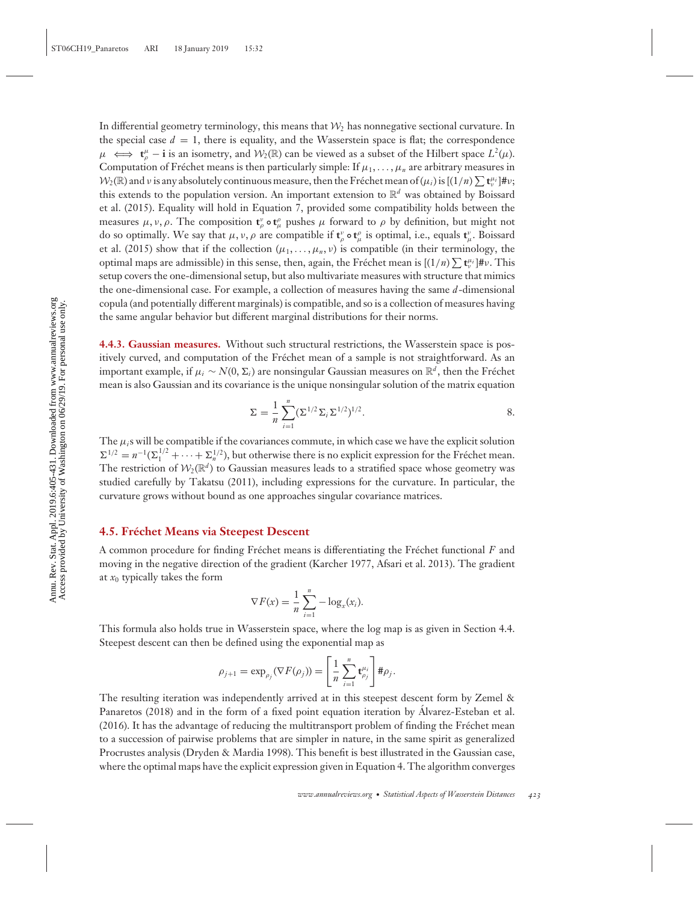In differential geometry terminology, this means that  $\mathcal{W}_2$  has nonnegative sectional curvature. In the special case  $d = 1$ , there is equality, and the Wasserstein space is flat; the correspondence  $\mu \iff t_{\rho}^{\mu} - \mathbf{i}$  is an isometry, and  $\mathcal{W}_2(\mathbb{R})$  can be viewed as a subset of the Hilbert space  $L^2(\mu)$ . Computation of Fréchet means is then particularly simple: If  $\mu_1, \ldots, \mu_n$  are arbitrary measures in  $W_2(\mathbb{R})$  and v is any absolutely continuous measure, then the Fréchet mean of  $(\mu_i)$  is  $[(1/n)\sum \mathbf{t}_{\nu}^{\mu_i}]$ #v; this extends to the population version. An important extension to  $\mathbb{R}^d$  was obtained by Boissard et al. (2015). Equality will hold in Equation 7, provided some compatibility holds between the measures  $\mu$ ,  $\nu$ ,  $\rho$ . The composition  $\mathbf{t}^{\nu}_{\rho}$  **o**  $\mathbf{t}^{\rho}_{\mu}$  pushes  $\mu$  forward to  $\rho$  by definition, but might not do so optimally. We say that  $\mu$ ,  $\nu$ ,  $\rho$  are compatible if  $\mathbf{t}^{\nu}_{\rho}$   $\mathbf{t}^{\rho}_{\mu}$  is optimal, i.e., equals  $\mathbf{t}^{\nu}_{\mu}$ . Boissard et al. (2015) show that if the collection  $(\mu_1, \ldots, \mu_n, \nu)$  is compatible (in their terminology, the optimal maps are admissible) in this sense, then, again, the Fréchet mean is  $[(1/n)\sum \mathbf{t}_{v}^{\mu_{i}}]$ #v. This setup covers the one-dimensional setup, but also multivariate measures with structure that mimics the one-dimensional case. For example, a collection of measures having the same *d*-dimensional copula (and potentially different marginals) is compatible, and so is a collection of measures having the same angular behavior but different marginal distributions for their norms.

**4.4.3. Gaussian measures.** Without such structural restrictions, the Wasserstein space is positively curved, and computation of the Frechet mean of a sample is not straightforward. As an ´ important example, if μ*<sup>i</sup>* ∼ *N*(0, *<sup>i</sup>*) are nonsingular Gaussian measures on R*<sup>d</sup>* , then the Frechet ´ mean is also Gaussian and its covariance is the unique nonsingular solution of the matrix equation

$$
\Sigma = \frac{1}{n} \sum_{i=1}^{n} (\Sigma^{1/2} \Sigma_i \Sigma^{1/2})^{1/2}.
$$
 8.

The  $\mu_i$ s will be compatible if the covariances commute, in which case we have the explicit solution  $\Sigma^{1/2} = n^{-1}(\Sigma_1^{1/2} + \cdots + \Sigma_n^{1/2})$ , but otherwise there is no explicit expression for the Fréchet mean. The restriction of  $W_2(\mathbb{R}^d)$  to Gaussian measures leads to a stratified space whose geometry was studied carefully by Takatsu (2011), including expressions for the curvature. In particular, the curvature grows without bound as one approaches singular covariance matrices.

#### **4.5. Frechet Means via Steepest Descent ´**

A common procedure for finding Fréchet means is differentiating the Fréchet functional F and moving in the negative direction of the gradient (Karcher 1977, Afsari et al. 2013). The gradient at *x*<sup>0</sup> typically takes the form

$$
\nabla F(x) = \frac{1}{n} \sum_{i=1}^{n} -\log_{x}(x_i).
$$

This formula also holds true in Wasserstein space, where the log map is as given in Section 4.4. Steepest descent can then be defined using the exponential map as

$$
\rho_{j+1} = \exp_{\rho_j}(\nabla F(\rho_j)) = \left[\frac{1}{n}\sum_{i=1}^n \mathbf{t}_{\rho_j}^{\mu_i}\right] \# \rho_j.
$$

The resulting iteration was independently arrived at in this steepest descent form by Zemel & Panaretos (2018) and in the form of a fixed point equation iteration by Alvarez-Esteban et al. (2016). It has the advantage of reducing the multitransport problem of finding the Frechet mean ´ to a succession of pairwise problems that are simpler in nature, in the same spirit as generalized Procrustes analysis (Dryden & Mardia 1998). This benefit is best illustrated in the Gaussian case, where the optimal maps have the explicit expression given in Equation 4. The algorithm converges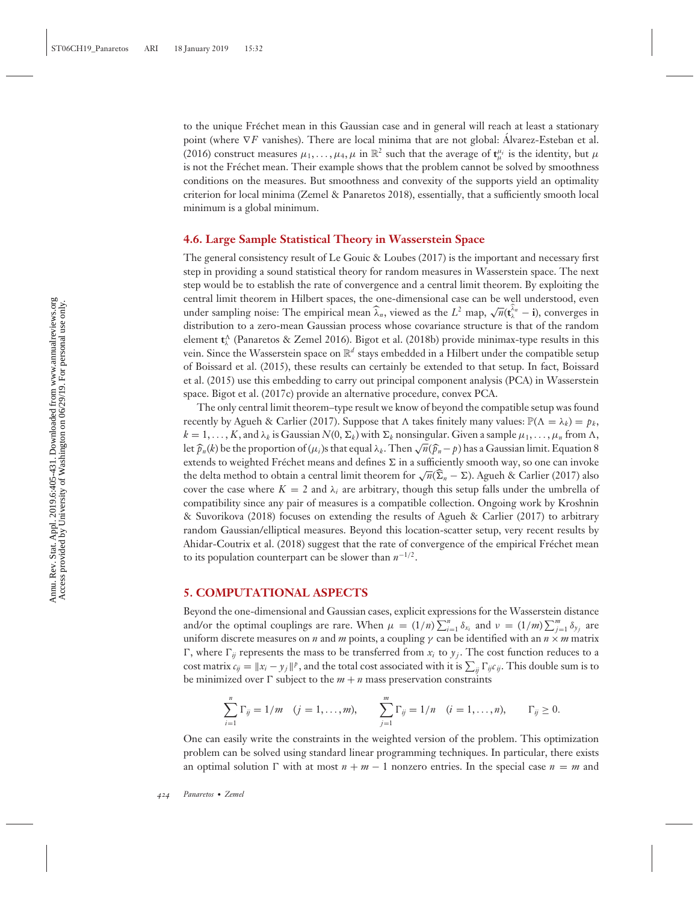to the unique Frechet mean in this Gaussian case and in general will reach at least a stationary ´ point (where  $∇F$  vanishes). There are local minima that are not global: Alvarez-Esteban et al. (2016) construct measures  $\mu_1, \ldots, \mu_4, \mu$  in  $\mathbb{R}^2$  such that the average of  $\mathbf{t}^{\mu_i}_\mu$  is the identity, but  $\mu$ is not the Fréchet mean. Their example shows that the problem cannot be solved by smoothness conditions on the measures. But smoothness and convexity of the supports yield an optimality criterion for local minima (Zemel & Panaretos 2018), essentially, that a sufficiently smooth local minimum is a global minimum.

#### **4.6. Large Sample Statistical Theory in Wasserstein Space**

The general consistency result of Le Gouic & Loubes (2017) is the important and necessary first step in providing a sound statistical theory for random measures in Wasserstein space. The next step would be to establish the rate of convergence and a central limit theorem. By exploiting the central limit theorem in Hilbert spaces, the one-dimensional case can be well understood, even under sampling noise: The empirical mean  $\hat{\lambda}_n$ , viewed as the *L*<sup>2</sup> map,  $\sqrt{n}(\hat{\mathbf{t}}_n^{\hat{\lambda}_n} - \mathbf{i})$ , converges in distribution to a zero-mean Gaussian process whose covariance structure is that of the random element **t** <sup>λ</sup> (Panaretos & Zemel 2016). Bigot et al. (2018b) provide minimax-type results in this vein. Since the Wasserstein space on  $\mathbb{R}^d$  stays embedded in a Hilbert under the compatible setup of Boissard et al. (2015), these results can certainly be extended to that setup. In fact, Boissard et al. (2015) use this embedding to carry out principal component analysis (PCA) in Wasserstein space. Bigot et al. (2017c) provide an alternative procedure, convex PCA.

The only central limit theorem–type result we know of beyond the compatible setup was found recently by Agueh & Carlier (2017). Suppose that  $\Lambda$  takes finitely many values:  $\mathbb{P}(\Lambda = \lambda_k) = p_k$ ,  $k = 1, \ldots, K$ , and  $\lambda_k$  is Gaussian  $N(0, \Sigma_k)$  with  $\Sigma_k$  nonsingular. Given a sample  $\mu_1, \ldots, \mu_n$  from  $\Lambda$ , let  $\hat{p}_n(k)$  be the proportion of ( $\mu_i$ )s that equal  $\lambda_k$ . Then  $\sqrt{n}(\hat{p}_n - p)$  has a Gaussian limit. Equation 8 extends to weighted Fréchet means and defines  $\Sigma$  in a sufficiently smooth way, so one can invoke the delta method to obtain a central limit theorem for  $\sqrt{n}(\hat{\Sigma}_n - \Sigma)$ . Agueh & Carlier (2017) also cover the case where  $K = 2$  and  $\lambda_i$  are arbitrary, though this setup falls under the umbrella of compatibility since any pair of measures is a compatible collection. Ongoing work by Kroshnin & Suvorikova (2018) focuses on extending the results of Agueh & Carlier (2017) to arbitrary random Gaussian/elliptical measures. Beyond this location-scatter setup, very recent results by Ahidar-Coutrix et al. (2018) suggest that the rate of convergence of the empirical Fréchet mean to its population counterpart can be slower than *n*<sup>−</sup>1/2.

### **5. COMPUTATIONAL ASPECTS**

Beyond the one-dimensional and Gaussian cases, explicit expressions for the Wasserstein distance and/or the optimal couplings are rare. When  $\mu = (1/n) \sum_{i=1}^{n} \delta_{x_i}$  and  $\nu = (1/m) \sum_{j=1}^{m} \delta_{y_j}$  are uniform discrete measures on *n* and *m* points, a coupling  $\gamma$  can be identified with an  $n \times m$  matrix  $\Gamma$ , where  $\Gamma_{ij}$  represents the mass to be transferred from  $x_i$  to  $y_j$ . The cost function reduces to a cost matrix  $c_{ij} = ||x_i - y_j||^p$ , and the total cost associated with it is  $\sum_{ij} \Gamma_{ij} c_{ij}$ . This double sum is to be minimized over  $\Gamma$  subject to the  $m + n$  mass preservation constraints

$$
\sum_{i=1}^{n} \Gamma_{ij} = 1/m \quad (j = 1, ..., m), \qquad \sum_{j=1}^{m} \Gamma_{ij} = 1/n \quad (i = 1, ..., n), \qquad \Gamma_{ij} \geq 0.
$$

One can easily write the constraints in the weighted version of the problem. This optimization problem can be solved using standard linear programming techniques. In particular, there exists an optimal solution  $\Gamma$  with at most  $n + m - 1$  nonzero entries. In the special case  $n = m$  and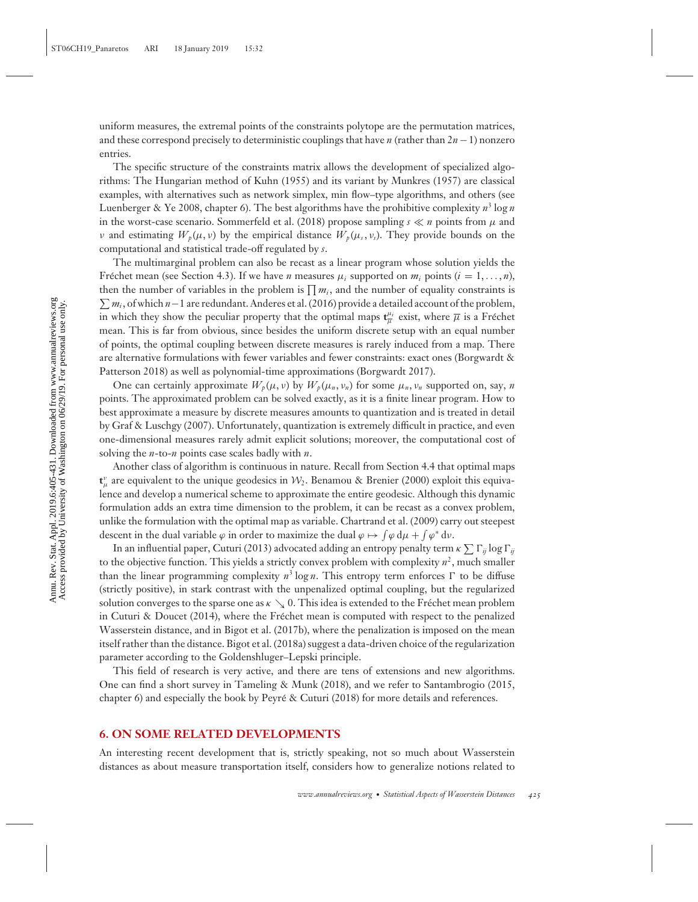uniform measures, the extremal points of the constraints polytope are the permutation matrices, and these correspond precisely to deterministic couplings that have *n* (rather than 2*n*−1) nonzero entries.

The specific structure of the constraints matrix allows the development of specialized algorithms: The Hungarian method of Kuhn (1955) and its variant by Munkres (1957) are classical examples, with alternatives such as network simplex, min flow–type algorithms, and others (see Luenberger & Ye 2008, chapter 6). The best algorithms have the prohibitive complexity  $n^3 \log n$ in the worst-case scenario. Sommerfeld et al. (2018) propose sampling  $s \ll n$  points from  $\mu$  and *ν* and estimating  $W_p(\mu, \nu)$  by the empirical distance  $W_p(\mu, \nu)$ . They provide bounds on the computational and statistical trade-off regulated by *s*.

The multimarginal problem can also be recast as a linear program whose solution yields the Fréchet mean (see Section 4.3). If we have *n* measures  $\mu_i$  supported on  $m_i$  points  $(i = 1, \ldots, n)$ , then the number of variables in the problem is  $\prod m_i$ , and the number of equality constraints is *mi* , of which *n*−1 are redundant. Anderes et al. (2016) provide a detailed account of the problem, in which they show the peculiar property that the optimal maps  $\mathbf{t}_{\overline{\mu}}^{\mu_i}$  exist, where  $\overline{\mu}$  is a Fréchet mean. This is far from obvious, since besides the uniform discrete setup with an equal number of points, the optimal coupling between discrete measures is rarely induced from a map. There are alternative formulations with fewer variables and fewer constraints: exact ones (Borgwardt & Patterson 2018) as well as polynomial-time approximations (Borgwardt 2017).

One can certainly approximate  $W_p(\mu, \nu)$  by  $W_p(\mu_n, \nu_n)$  for some  $\mu_n, \nu_n$  supported on, say, *n* points. The approximated problem can be solved exactly, as it is a finite linear program. How to best approximate a measure by discrete measures amounts to quantization and is treated in detail by Graf & Luschgy (2007). Unfortunately, quantization is extremely difficult in practice, and even one-dimensional measures rarely admit explicit solutions; moreover, the computational cost of solving the *n*-to-*n* points case scales badly with *n*.

Another class of algorithm is continuous in nature. Recall from Section 4.4 that optimal maps  $\mathbf{t}_{\mu}^{\nu}$  are equivalent to the unique geodesics in  $\mathcal{W}_2$ . Benamou & Brenier (2000) exploit this equivalence and develop a numerical scheme to approximate the entire geodesic. Although this dynamic formulation adds an extra time dimension to the problem, it can be recast as a convex problem, unlike the formulation with the optimal map as variable. Chartrand et al. (2009) carry out steepest descent in the dual variable  $\varphi$  in order to maximize the dual  $\varphi \mapsto \int \varphi \, d\mu + \int \varphi^* \, d\nu$ .

In an influential paper, Cuturi (2013) advocated adding an entropy penalty term  $\kappa \sum \Gamma_{ij} \log \Gamma_{ij}$ to the objective function. This yields a strictly convex problem with complexity  $n^2$ , much smaller than the linear programming complexity  $n^3 \log n$ . This entropy term enforces  $\Gamma$  to be diffuse (strictly positive), in stark contrast with the unpenalized optimal coupling, but the regularized solution converges to the sparse one as  $\kappa \searrow 0$ . This idea is extended to the Fréchet mean problem in Cuturi & Doucet (2014), where the Frechet mean is computed with respect to the penalized ´ Wasserstein distance, and in Bigot et al. (2017b), where the penalization is imposed on the mean itself rather than the distance. Bigot et al. (2018a) suggest a data-driven choice of the regularization parameter according to the Goldenshluger–Lepski principle.

This field of research is very active, and there are tens of extensions and new algorithms. One can find a short survey in Tameling & Munk (2018), and we refer to Santambrogio (2015, chapter 6) and especially the book by Peyre & Cuturi (2018) for more details and references. ´

#### **6. ON SOME RELATED DEVELOPMENTS**

An interesting recent development that is, strictly speaking, not so much about Wasserstein distances as about measure transportation itself, considers how to generalize notions related to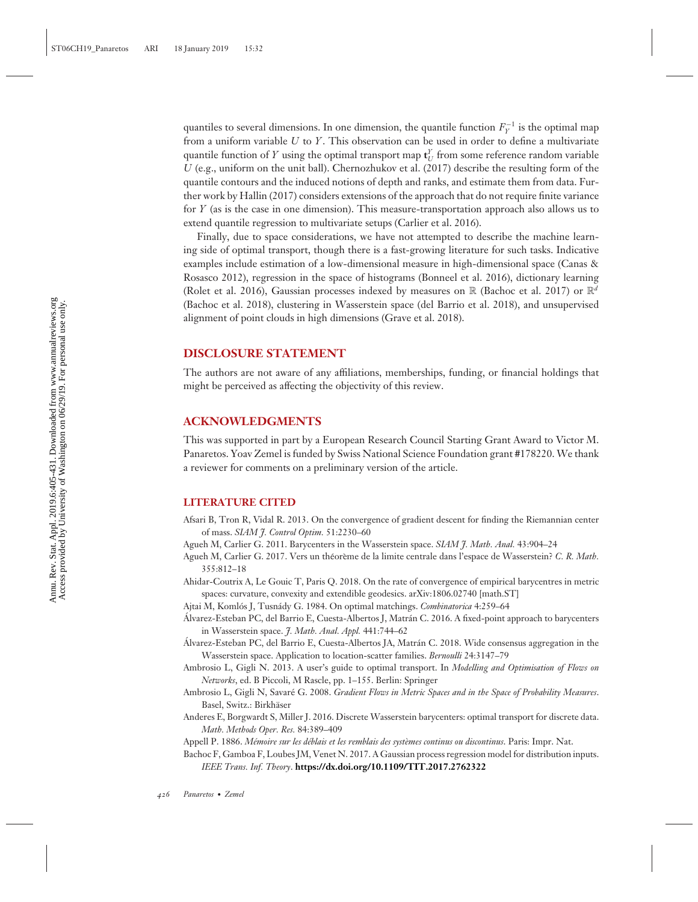quantiles to several dimensions. In one dimension, the quantile function  $F_Y^{-1}$  is the optimal map from a uniform variable *U* to *Y*. This observation can be used in order to define a multivariate quantile function of *Y* using the optimal transport map  $\mathbf{t}_U^Y$  from some reference random variable *U* (e.g., uniform on the unit ball). Chernozhukov et al. (2017) describe the resulting form of the quantile contours and the induced notions of depth and ranks, and estimate them from data. Further work by Hallin (2017) considers extensions of the approach that do not require finite variance for *Y* (as is the case in one dimension). This measure-transportation approach also allows us to extend quantile regression to multivariate setups (Carlier et al. 2016).

Finally, due to space considerations, we have not attempted to describe the machine learning side of optimal transport, though there is a fast-growing literature for such tasks. Indicative examples include estimation of a low-dimensional measure in high-dimensional space (Canas & Rosasco 2012), regression in the space of histograms (Bonneel et al. 2016), dictionary learning (Rolet et al. 2016), Gaussian processes indexed by measures on R (Bachoc et al. 2017) or  $\mathbb{R}^d$ (Bachoc et al. 2018), clustering in Wasserstein space (del Barrio et al. 2018), and unsupervised alignment of point clouds in high dimensions (Grave et al. 2018).

## **DISCLOSURE STATEMENT**

The authors are not aware of any affiliations, memberships, funding, or financial holdings that might be perceived as affecting the objectivity of this review.

## **ACKNOWLEDGMENTS**

This was supported in part by a European Research Council Starting Grant Award to Victor M. Panaretos. Yoav Zemel is funded by Swiss National Science Foundation grant #178220. We thank a reviewer for comments on a preliminary version of the article.

#### **LITERATURE CITED**

- Afsari B, Tron R, Vidal R. 2013. On the convergence of gradient descent for finding the Riemannian center of mass. *SIAM J. Control Optim.* 51:2230–60
- Agueh M, Carlier G. 2011. Barycenters in the Wasserstein space. *SIAM J. Math. Anal.* 43:904–24
- Agueh M, Carlier G. 2017. Vers un théorème de la limite centrale dans l'espace de Wasserstein? C. R. Math. 355:812–18
- Ahidar-Coutrix A, Le Gouic T, Paris Q. 2018. On the rate of convergence of empirical barycentres in metric spaces: curvature, convexity and extendible geodesics. arXiv:1806.02740 [math.ST]
- Ajtai M, Komlós J, Tusnády G. 1984. On optimal matchings. *Combinatorica* 4:259–64
- Álvarez-Esteban PC, del Barrio E, Cuesta-Albertos J, Matrán C. 2016. A fixed-point approach to barycenters in Wasserstein space. *J. Math. Anal. Appl.* 441:744–62
- Álvarez-Esteban PC, del Barrio E, Cuesta-Albertos JA, Matrán C. 2018. Wide consensus aggregation in the Wasserstein space. Application to location-scatter families. *Bernoulli* 24:3147–79
- Ambrosio L, Gigli N. 2013. A user's guide to optimal transport. In *Modelling and Optimisation of Flows on Networks*, ed. B Piccoli, M Rascle, pp. 1–155. Berlin: Springer
- Ambrosio L, Gigli N, Savaré G. 2008. Gradient Flows in Metric Spaces and in the Space of Probability Measures. Basel, Switz.: Birkhäser
- Anderes E, Borgwardt S, Miller J. 2016. Discrete Wasserstein barycenters: optimal transport for discrete data. *Math. Methods Oper. Res.* 84:389–409
- Appell P. 1886. Mémoire sur les déblais et les remblais des systèmes continus ou discontinus. Paris: Impr. Nat.
- Bachoc F, Gamboa F, Loubes JM, Venet N. 2017. A Gaussian process regression model for distribution inputs. *IEEE Trans. Inf. Theory*. **<https://dx.doi.org/10.1109/TIT.2017.2762322>**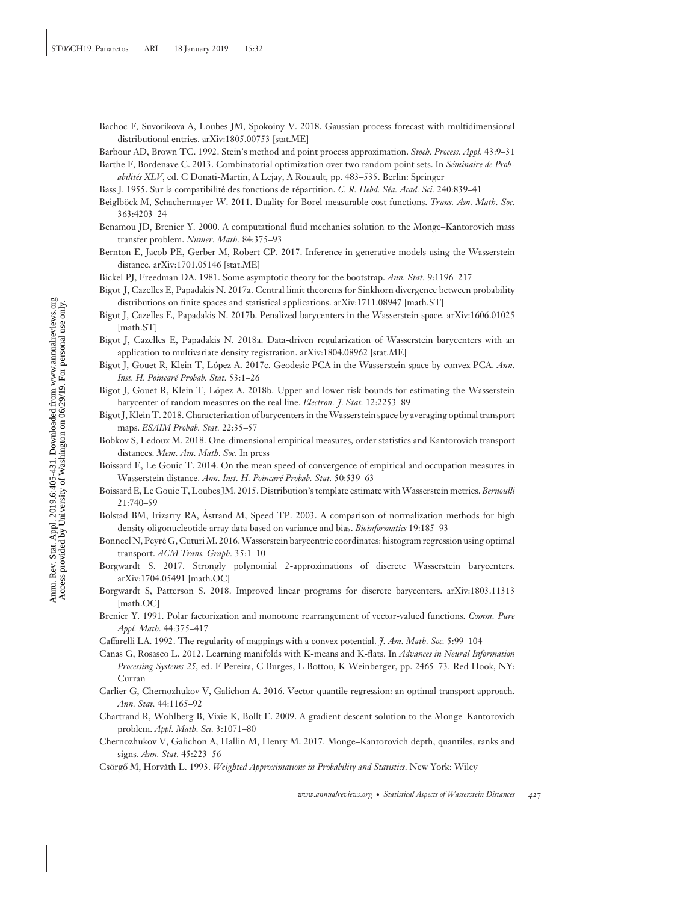Annu. Rev. Stat. Appl. 2019.6:405-431. Downloaded from www.annualreviews.org<br>Access provided by University of Washington on 06/29/19. For personal use only. Annu. Rev. Stat. Appl. 2019.6:405-431. Downloaded from www.annualreviews.org Access provided by University of Washington on 06/29/19. For personal use only.

- Bachoc F, Suvorikova A, Loubes JM, Spokoiny V. 2018. Gaussian process forecast with multidimensional distributional entries. arXiv:1805.00753 [stat.ME]
- Barbour AD, Brown TC. 1992. Stein's method and point process approximation. *Stoch. Process. Appl.* 43:9–31
- Barthe F, Bordenave C. 2013. Combinatorial optimization over two random point sets. In *S´eminaire de Probabilit´es XLV*, ed. C Donati-Martin, A Lejay, A Rouault, pp. 483–535. Berlin: Springer
- Bass J. 1955. Sur la compatibilité des fonctions de répartition. C. R. Hebd. Séa. Acad. Sci. 240:839-41
- Beiglböck M, Schachermayer W. 2011. Duality for Borel measurable cost functions. *Trans. Am. Math. Soc.* 363:4203–24
- Benamou JD, Brenier Y. 2000. A computational fluid mechanics solution to the Monge–Kantorovich mass transfer problem. *Numer. Math.* 84:375–93
- Bernton E, Jacob PE, Gerber M, Robert CP. 2017. Inference in generative models using the Wasserstein distance. arXiv:1701.05146 [stat.ME]
- Bickel PJ, Freedman DA. 1981. Some asymptotic theory for the bootstrap. *Ann. Stat.* 9:1196–217
- Bigot J, Cazelles E, Papadakis N. 2017a. Central limit theorems for Sinkhorn divergence between probability distributions on finite spaces and statistical applications. arXiv:1711.08947 [math.ST]
- Bigot J, Cazelles E, Papadakis N. 2017b. Penalized barycenters in the Wasserstein space. arXiv:1606.01025 [math.ST]
- Bigot J, Cazelles E, Papadakis N. 2018a. Data-driven regularization of Wasserstein barycenters with an application to multivariate density registration. arXiv:1804.08962 [stat.ME]
- Bigot J, Gouet R, Klein T, López A. 2017c. Geodesic PCA in the Wasserstein space by convex PCA. Ann. *Inst. H. Poincar´e Probab. Stat.* 53:1–26
- Bigot J, Gouet R, Klein T, Lopez A. 2018b. Upper and lower risk bounds for estimating the Wasserstein ´ barycenter of random measures on the real line. *Electron. J. Stat.* 12:2253–89
- Bigot J, Klein T. 2018. Characterization of barycenters in theWasserstein space by averaging optimal transport maps. *ESAIM Probab. Stat.* 22:35–57
- Bobkov S, Ledoux M. 2018. One-dimensional empirical measures, order statistics and Kantorovich transport distances. *Mem. Am. Math. Soc*. In press
- Boissard E, Le Gouic T. 2014. On the mean speed of convergence of empirical and occupation measures in Wasserstein distance. *Ann. Inst. H. Poincar´e Probab. Stat.* 50:539–63
- Boissard E, Le Gouic T, Loubes JM. 2015. Distribution's template estimate withWasserstein metrics. *Bernoulli* 21:740–59
- Bolstad BM, Irizarry RA, Astrand M, Speed TP. 2003. A comparison of normalization methods for high density oligonucleotide array data based on variance and bias. *Bioinformatics* 19:185–93
- Bonneel N, Peyré G, Cuturi M. 2016. Wasserstein barycentric coordinates: histogram regression using optimal transport. *ACM Trans. Graph.* 35:1–10
- Borgwardt S. 2017. Strongly polynomial 2-approximations of discrete Wasserstein barycenters. arXiv:1704.05491 [math.OC]
- Borgwardt S, Patterson S. 2018. Improved linear programs for discrete barycenters. arXiv:1803.11313 [math.OC]
- Brenier Y. 1991. Polar factorization and monotone rearrangement of vector-valued functions. *Comm. Pure Appl. Math.* 44:375–417
- Caffarelli LA. 1992. The regularity of mappings with a convex potential. *J. Am. Math. Soc.* 5:99–104
- Canas G, Rosasco L. 2012. Learning manifolds with K-means and K-flats. In *Advances in Neural Information Processing Systems 25*, ed. F Pereira, C Burges, L Bottou, K Weinberger, pp. 2465–73. Red Hook, NY: Curran
- Carlier G, Chernozhukov V, Galichon A. 2016. Vector quantile regression: an optimal transport approach. *Ann. Stat.* 44:1165–92
- Chartrand R, Wohlberg B, Vixie K, Bollt E. 2009. A gradient descent solution to the Monge–Kantorovich problem. *Appl. Math. Sci.* 3:1071–80
- Chernozhukov V, Galichon A, Hallin M, Henry M. 2017. Monge–Kantorovich depth, quantiles, ranks and signs. *Ann. Stat.* 45:223–56
- Csörgő M, Horváth L. 1993. *Weighted Approximations in Probability and Statistics*. New York: Wiley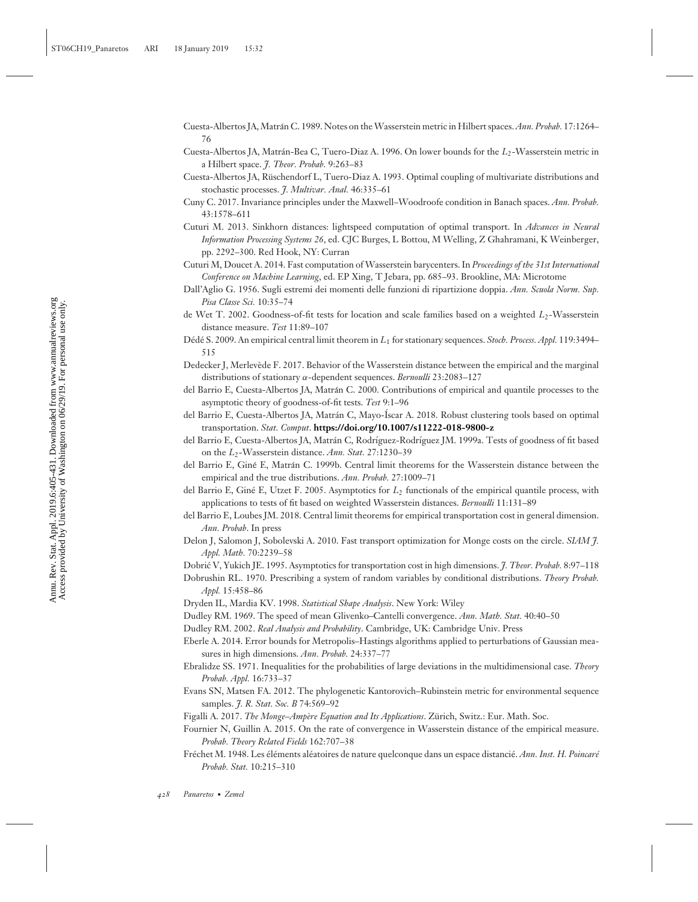- Cuesta-Albertos JA, Matrán C. 1989. Notes on the Wasserstein metric in Hilbert spaces. *Ann. Probab.* 17:1264– 76
- Cuesta-Albertos JA, Matrán-Bea C, Tuero-Diaz A. 1996. On lower bounds for the L<sub>2</sub>-Wasserstein metric in a Hilbert space. *J. Theor. Probab.* 9:263–83
- Cuesta-Albertos JA, Ruschendorf L, Tuero-Diaz A. 1993. Optimal coupling of multivariate distributions and ¨ stochastic processes. *J. Multivar. Anal.* 46:335–61
- Cuny C. 2017. Invariance principles under the Maxwell–Woodroofe condition in Banach spaces. *Ann. Probab.* 43:1578–611
- Cuturi M. 2013. Sinkhorn distances: lightspeed computation of optimal transport. In *Advances in Neural Information Processing Systems 26*, ed. CJC Burges, L Bottou, M Welling, Z Ghahramani, K Weinberger, pp. 2292–300. Red Hook, NY: Curran
- Cuturi M, Doucet A. 2014. Fast computation of Wasserstein barycenters. In *Proceedings of the 31st International Conference on Machine Learning*, ed. EP Xing, T Jebara, pp. 685–93. Brookline, MA: Microtome
- Dall'Aglio G. 1956. Sugli estremi dei momenti delle funzioni di ripartizione doppia. *Ann. Scuola Norm. Sup. Pisa Classe Sci.* 10:35–74
- de Wet T. 2002. Goodness-of-fit tests for location and scale families based on a weighted *L*2-Wasserstein distance measure. *Test* 11:89–107
- Dédé S. 2009. An empirical central limit theorem in  $L_1$  for stationary sequences. *Stoch. Process. Appl.* 119:3494– 515
- Dedecker J, Merlevede F. 2017. Behavior of the Wasserstein distance between the empirical and the marginal ` distributions of stationary α-dependent sequences. *Bernoulli* 23:2083–127
- del Barrio E, Cuesta-Albertos JA, Matrán C. 2000. Contributions of empirical and quantile processes to the asymptotic theory of goodness-of-fit tests. *Test* 9:1–96
- del Barrio E, Cuesta-Albertos JA, Matrán C, Mayo-Íscar A. 2018. Robust clustering tools based on optimal transportation. *Stat. Comput*. **<https://doi.org/10.1007/s11222-018-9800-z>**
- del Barrio E, Cuesta-Albertos JA, Matrán C, Rodríguez-Rodríguez JM. 1999a. Tests of goodness of fit based on the *L*2-Wasserstein distance. *Ann. Stat.* 27:1230–39
- del Barrio E, Giné E, Matrán C. 1999b. Central limit theorems for the Wasserstein distance between the empirical and the true distributions. *Ann. Probab.* 27:1009–71
- del Barrio E, Giné E, Utzet F. 2005. Asymptotics for L<sub>2</sub> functionals of the empirical quantile process, with applications to tests of fit based on weighted Wasserstein distances. *Bernoulli* 11:131–89
- del Barrio E, Loubes JM. 2018. Central limit theorems for empirical transportation cost in general dimension. *Ann. Probab*. In press
- Delon J, Salomon J, Sobolevski A. 2010. Fast transport optimization for Monge costs on the circle. *SIAM J. Appl. Math.* 70:2239–58
- Dobrić V, Yukich JE. 1995. Asymptotics for transportation cost in high dimensions. *J. Theor. Probab.* 8:97-118
- Dobrushin RL. 1970. Prescribing a system of random variables by conditional distributions. *Theory Probab. Appl.* 15:458–86
- Dryden IL, Mardia KV. 1998. *Statistical Shape Analysis*. New York: Wiley
- Dudley RM. 1969. The speed of mean Glivenko–Cantelli convergence. *Ann. Math. Stat.* 40:40–50
- Dudley RM. 2002. *Real Analysis and Probability*. Cambridge, UK: Cambridge Univ. Press
- Eberle A. 2014. Error bounds for Metropolis–Hastings algorithms applied to perturbations of Gaussian measures in high dimensions. *Ann. Probab.* 24:337–77
- Ebralidze SS. 1971. Inequalities for the probabilities of large deviations in the multidimensional case. *Theory Probab. Appl.* 16:733–37
- Evans SN, Matsen FA. 2012. The phylogenetic Kantorovich–Rubinstein metric for environmental sequence samples. *J. R. Stat. Soc. B* 74:569–92
- Figalli A. 2017. *The Monge–Ampère Equation and Its Applications*. Zürich, Switz.: Eur. Math. Soc.
- Fournier N, Guillin A. 2015. On the rate of convergence in Wasserstein distance of the empirical measure. *Probab. Theory Related Fields* 162:707–38
- Fréchet M. 1948. Les éléments aléatoires de nature quelconque dans un espace distancié. *Ann. Inst. H. Poincaré Probab. Stat.* 10:215–310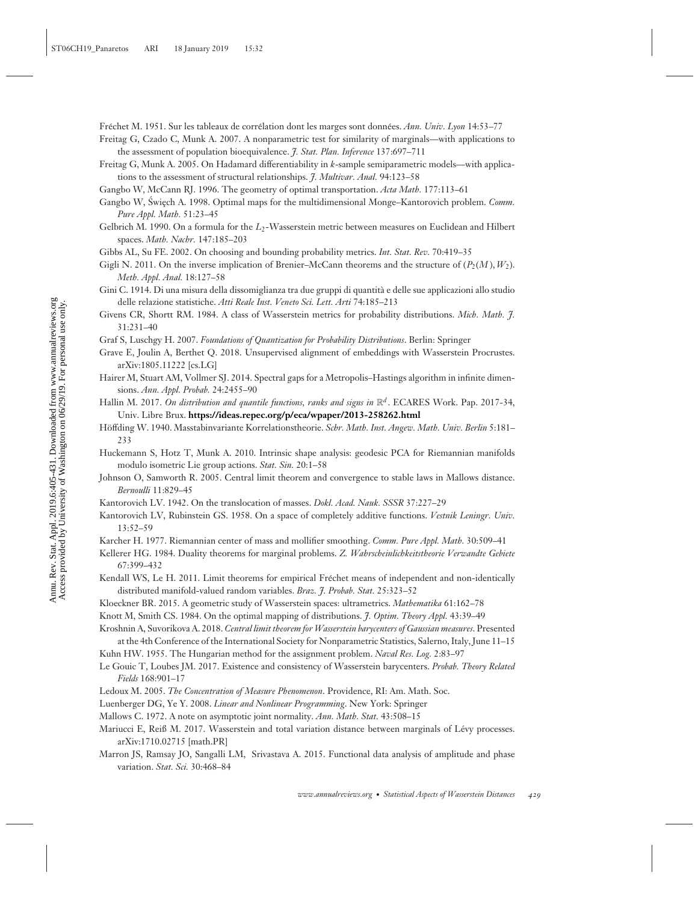Fréchet M. 1951. Sur les tableaux de corrélation dont les marges sont données. *Ann. Univ. Lyon* 14:53–77

- Freitag G, Czado C, Munk A. 2007. A nonparametric test for similarity of marginals—with applications to the assessment of population bioequivalence. *J. Stat. Plan. Inference* 137:697–711
- Freitag G, Munk A. 2005. On Hadamard differentiability in *k*-sample semiparametric models—with applications to the assessment of structural relationships. *J. Multivar. Anal.* 94:123–58
- Gangbo W, McCann RJ. 1996. The geometry of optimal transportation. *Acta Math.* 177:113–61
- Gangbo W, Swiech A. 1998. Optimal maps for the multidimensional Monge–Kantorovich problem. *Comm. Pure Appl. Math.* 51:23–45
- Gelbrich M. 1990. On a formula for the L<sub>2</sub>-Wasserstein metric between measures on Euclidean and Hilbert spaces. *Math. Nachr.* 147:185–203
- Gibbs AL, Su FE. 2002. On choosing and bounding probability metrics. *Int. Stat. Rev.* 70:419–35
- Gigli N. 2011. On the inverse implication of Brenier–McCann theorems and the structure of  $(P_2(M), W_2)$ . *Meth. Appl. Anal.* 18:127–58
- Gini C. 1914. Di una misura della dissomiglianza tra due gruppi di quantita e delle sue applicazioni allo studio ` delle relazione statistiche. *Atti Reale Inst. Veneto Sci. Lett. Arti* 74:185–213
- Givens CR, Shortt RM. 1984. A class of Wasserstein metrics for probability distributions. *Mich. Math. J.* 31:231–40
- Graf S, Luschgy H. 2007. *Foundations of Quantization for Probability Distributions*. Berlin: Springer
- Grave E, Joulin A, Berthet Q. 2018. Unsupervised alignment of embeddings with Wasserstein Procrustes. arXiv:1805.11222 [cs.LG]
- Hairer M, Stuart AM, Vollmer SJ. 2014. Spectral gaps for a Metropolis–Hastings algorithm in infinite dimensions. *Ann. Appl. Probab.* 24:2455–90
- Hallin M. 2017. *On distribution and quantile functions, ranks and signs in* R*<sup>d</sup>* . ECARES Work. Pap. 2017-34, Univ. Libre Brux. **<https://ideas.repec.org/p/eca/wpaper/2013-258262.html>**
- Höffding W. 1940. Masstabinvariante Korrelationstheorie. Schr. Math. Inst. Angew. Math. Univ. Berlin 5:181-233
- Huckemann S, Hotz T, Munk A. 2010. Intrinsic shape analysis: geodesic PCA for Riemannian manifolds modulo isometric Lie group actions. *Stat. Sin.* 20:1–58
- Johnson O, Samworth R. 2005. Central limit theorem and convergence to stable laws in Mallows distance. *Bernoulli* 11:829–45
- Kantorovich LV. 1942. On the translocation of masses. *Dokl. Acad. Nauk. SSSR* 37:227–29
- Kantorovich LV, Rubinstein GS. 1958. On a space of completely additive functions. *Vestnik Leningr. Univ.* 13:52–59
- Karcher H. 1977. Riemannian center of mass and mollifier smoothing. *Comm. Pure Appl. Math.* 30:509–41
- Kellerer HG. 1984. Duality theorems for marginal problems. *Z. Wahrscheinlichkeitstheorie Verwandte Gebiete* 67:399–432
- Kendall WS, Le H. 2011. Limit theorems for empirical Fréchet means of independent and non-identically distributed manifold-valued random variables. *Braz. J. Probab. Stat.* 25:323–52
- Kloeckner BR. 2015. A geometric study of Wasserstein spaces: ultrametrics. *Mathematika* 61:162–78
- Knott M, Smith CS. 1984. On the optimal mapping of distributions. *J. Optim. Theory Appl.* 43:39–49

Kroshnin A, Suvorikova A. 2018. *Central limit theorem for Wasserstein barycenters of Gaussian measures*. Presented at the 4th Conference of the International Society for Nonparametric Statistics, Salerno, Italy, June 11–15

- Kuhn HW. 1955. The Hungarian method for the assignment problem. *Naval Res. Log.* 2:83–97
- Le Gouic T, Loubes JM. 2017. Existence and consistency of Wasserstein barycenters. *Probab. Theory Related Fields* 168:901–17
- Ledoux M. 2005. *The Concentration of Measure Phenomenon*. Providence, RI: Am. Math. Soc.
- Luenberger DG, Ye Y. 2008. *Linear and Nonlinear Programming*. New York: Springer
- Mallows C. 1972. A note on asymptotic joint normality. *Ann. Math. Stat.* 43:508–15
- Mariucci E, Reiß M. 2017. Wasserstein and total variation distance between marginals of Lévy processes. arXiv:1710.02715 [math.PR]
- Marron JS, Ramsay JO, Sangalli LM, Srivastava A. 2015. Functional data analysis of amplitude and phase variation. *Stat. Sci.* 30:468–84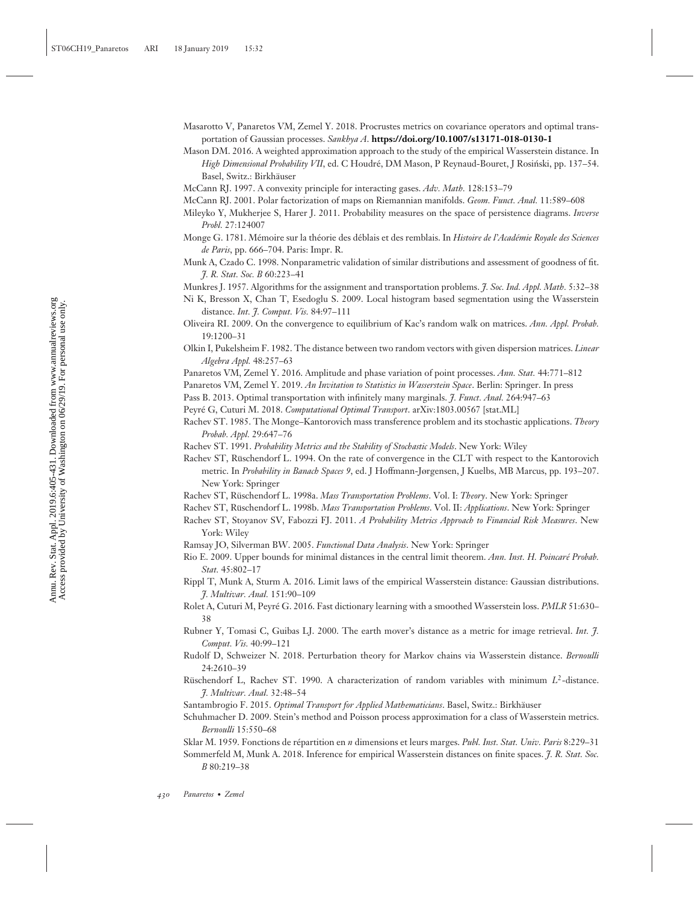- Masarotto V, Panaretos VM, Zemel Y. 2018. Procrustes metrics on covariance operators and optimal transportation of Gaussian processes. *Sankhya A*. **<https://doi.org/10.1007/s13171-018-0130-1>**
- Mason DM. 2016. A weighted approximation approach to the study of the empirical Wasserstein distance. In *High Dimensional Probability VII*, ed. C Houdré, DM Mason, P Reynaud-Bouret, J Rosiński, pp. 137-54. Basel, Switz.: Birkhäuser

McCann RJ. 1997. A convexity principle for interacting gases. *Adv. Math.* 128:153–79

McCann RJ. 2001. Polar factorization of maps on Riemannian manifolds. *Geom. Funct. Anal.* 11:589–608

- Monge G. 1781. Mémoire sur la théorie des déblais et des remblais. In *Histoire de l'Académie Royale des Sciences de Paris*, pp. 666–704. Paris: Impr. R.
- Munk A, Czado C. 1998. Nonparametric validation of similar distributions and assessment of goodness of fit. *J. R. Stat. Soc. B* 60:223–41

Munkres J. 1957. Algorithms for the assignment and transportation problems. *J. Soc. Ind. Appl. Math.* 5:32–38

- Ni K, Bresson X, Chan T, Esedoglu S. 2009. Local histogram based segmentation using the Wasserstein distance. *Int. J. Comput. Vis.* 84:97–111
- Oliveira RI. 2009. On the convergence to equilibrium of Kac's random walk on matrices. *Ann. Appl. Probab.* 19:1200–31
- Olkin I, Pukelsheim F. 1982. The distance between two random vectors with given dispersion matrices. *Linear Algebra Appl.* 48:257–63
- Panaretos VM, Zemel Y. 2016. Amplitude and phase variation of point processes. *Ann. Stat.* 44:771–812

Panaretos VM, Zemel Y. 2019. *An Invitation to Statistics in Wasserstein Space*. Berlin: Springer. In press

Pass B. 2013. Optimal transportation with infinitely many marginals. *J. Funct. Anal.* 264:947–63

- Peyré G, Cuturi M. 2018. Computational Optimal Transport. arXiv:1803.00567 [stat.ML]
- Rachev ST. 1985. The Monge–Kantorovich mass transference problem and its stochastic applications. *Theory Probab. Appl.* 29:647–76
- Rachev ST. 1991. *Probability Metrics and the Stability of Stochastic Models*. New York: Wiley
- Rachev ST, Rüschendorf L. 1994. On the rate of convergence in the CLT with respect to the Kantorovich metric. In *Probability in Banach Spaces 9*, ed. J Hoffmann-Jørgensen, J Kuelbs, MB Marcus, pp. 193–207. New York: Springer
- Rachev ST, Rüschendorf L. 1998a. Mass Transportation Problems. Vol. I: Theory. New York: Springer
- Rachev ST, Rüschendorf L. 1998b. Mass Transportation Problems. Vol. II: Applications. New York: Springer
- Rachev ST, Stoyanov SV, Fabozzi FJ. 2011. *A Probability Metrics Approach to Financial Risk Measures*. New York: Wiley
- Ramsay JO, Silverman BW. 2005. *Functional Data Analysis*. New York: Springer
- Rio E. 2009. Upper bounds for minimal distances in the central limit theorem. *Ann. Inst. H. Poincar´e Probab. Stat.* 45:802–17
- Rippl T, Munk A, Sturm A. 2016. Limit laws of the empirical Wasserstein distance: Gaussian distributions. *J. Multivar. Anal.* 151:90–109
- Rolet A, Cuturi M, Peyré G. 2016. Fast dictionary learning with a smoothed Wasserstein loss. PMLR 51:630– 38
- Rubner Y, Tomasi C, Guibas LJ. 2000. The earth mover's distance as a metric for image retrieval. *Int. J. Comput. Vis.* 40:99–121
- Rudolf D, Schweizer N. 2018. Perturbation theory for Markov chains via Wasserstein distance. *Bernoulli* 24:2610–39
- Rüschendorf L, Rachev ST. 1990. A characterization of random variables with minimum L<sup>2</sup>-distance. *J. Multivar. Anal.* 32:48–54
- Santambrogio F. 2015. *Optimal Transport for Applied Mathematicians*. Basel, Switz.: Birkhauser ¨
- Schuhmacher D. 2009. Stein's method and Poisson process approximation for a class of Wasserstein metrics. *Bernoulli* 15:550–68

Sklar M. 1959. Fonctions de repartition en ´ *n* dimensions et leurs marges. *Publ. Inst. Stat. Univ. Paris* 8:229–31 Sommerfeld M, Munk A. 2018. Inference for empirical Wasserstein distances on finite spaces. *J. R. Stat. Soc. B* 80:219–38

Mileyko Y, Mukherjee S, Harer J. 2011. Probability measures on the space of persistence diagrams. *Inverse Probl.* 27:124007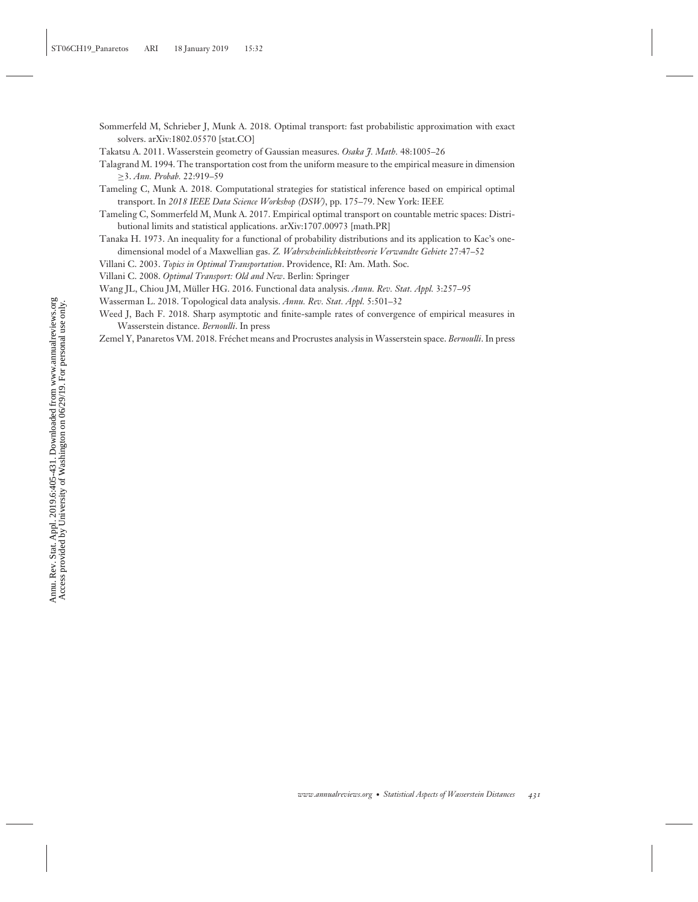- Sommerfeld M, Schrieber J, Munk A. 2018. Optimal transport: fast probabilistic approximation with exact solvers. arXiv:1802.05570 [stat.CO]
- Takatsu A. 2011. Wasserstein geometry of Gaussian measures. *Osaka J. Math.* 48:1005–26
- Talagrand M. 1994. The transportation cost from the uniform measure to the empirical measure in dimension ≥3. *Ann. Probab.* 22:919–59
- Tameling C, Munk A. 2018. Computational strategies for statistical inference based on empirical optimal transport. In *2018 IEEE Data Science Workshop (DSW)*, pp. 175–79. New York: IEEE
- Tameling C, Sommerfeld M, Munk A. 2017. Empirical optimal transport on countable metric spaces: Distributional limits and statistical applications. arXiv:1707.00973 [math.PR]
- Tanaka H. 1973. An inequality for a functional of probability distributions and its application to Kac's onedimensional model of a Maxwellian gas. *Z. Wahrscheinlichkeitstheorie Verwandte Gebiete* 27:47–52
- Villani C. 2003. *Topics in Optimal Transportation*. Providence, RI: Am. Math. Soc.
- Villani C. 2008. *Optimal Transport: Old and New*. Berlin: Springer
- Wang JL, Chiou JM, Müller HG. 2016. Functional data analysis. Annu. Rev. Stat. Appl. 3:257-95
- Wasserman L. 2018. Topological data analysis. *Annu. Rev. Stat. Appl.* 5:501–32
- Weed J, Bach F. 2018. Sharp asymptotic and finite-sample rates of convergence of empirical measures in Wasserstein distance. *Bernoulli*. In press
- Zemel Y, Panaretos VM. 2018. Fréchet means and Procrustes analysis in Wasserstein space. *Bernoulli*. In press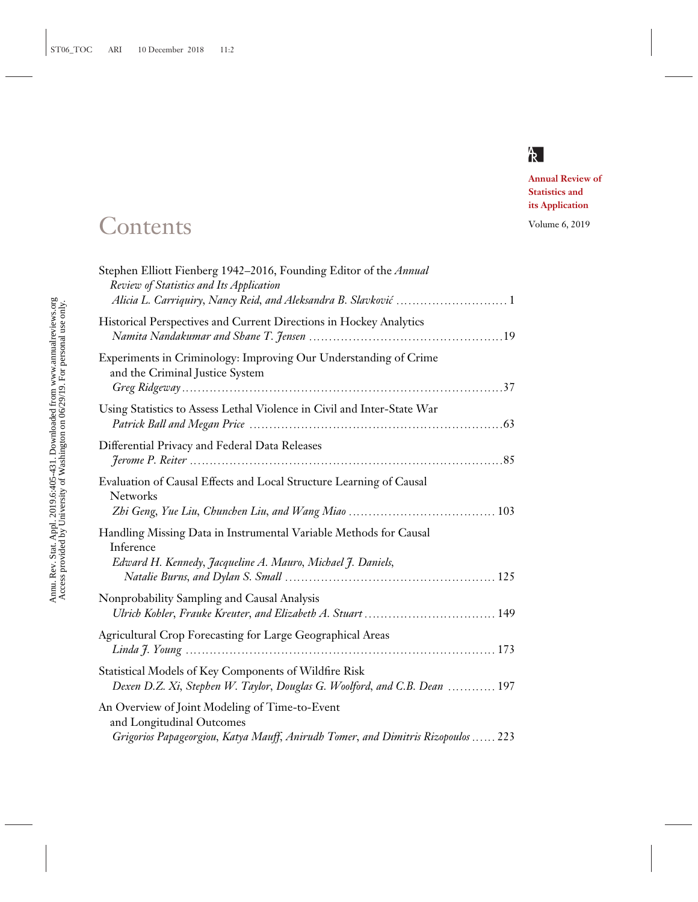# $R$

**Annual Review of Statistics and its Application**

# Contents Volume 6, 2019

| Stephen Elliott Fienberg 1942-2016, Founding Editor of the Annual<br>Review of Statistics and Its Application<br>Alicia L. Carriquiry, Nancy Reid, and Aleksandra B. Slavković  1 |
|-----------------------------------------------------------------------------------------------------------------------------------------------------------------------------------|
| Historical Perspectives and Current Directions in Hockey Analytics                                                                                                                |
| Experiments in Criminology: Improving Our Understanding of Crime<br>and the Criminal Justice System                                                                               |
| Using Statistics to Assess Lethal Violence in Civil and Inter-State War                                                                                                           |
| Differential Privacy and Federal Data Releases                                                                                                                                    |
| Evaluation of Causal Effects and Local Structure Learning of Causal<br><b>Networks</b>                                                                                            |
| Handling Missing Data in Instrumental Variable Methods for Causal<br>Inference<br>Edward H. Kennedy, Jacqueline A. Mauro, Michael J. Daniels,                                     |
| Nonprobability Sampling and Causal Analysis                                                                                                                                       |
| Agricultural Crop Forecasting for Large Geographical Areas                                                                                                                        |
| Statistical Models of Key Components of Wildfire Risk<br>Dexen D.Z. Xi, Stephen W. Taylor, Douglas G. Woolford, and C.B. Dean  197                                                |
| An Overview of Joint Modeling of Time-to-Event<br>and Longitudinal Outcomes<br>Grigorios Papageorgiou, Katya Mauff, Anirudh Tomer, and Dimitris Rizopoulos  223                   |